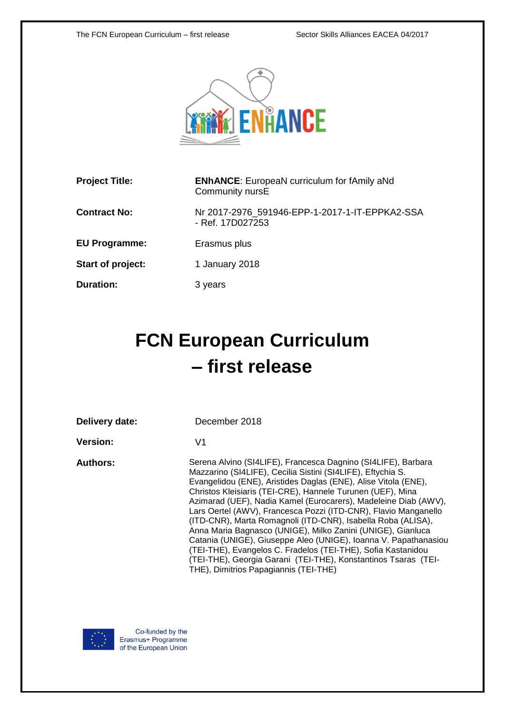

| <b>Project Title:</b> | <b>ENhANCE:</b> EuropeaN curriculum for fAmily aNd<br>Community nursE |
|-----------------------|-----------------------------------------------------------------------|
| <b>Contract No:</b>   | Nr 2017-2976_591946-EPP-1-2017-1-IT-EPPKA2-SSA<br>- Ref. 17D027253    |
| <b>EU Programme:</b>  | Erasmus plus                                                          |
| Start of project:     | 1 January 2018                                                        |
| <b>Duration:</b>      | 3 years                                                               |
|                       |                                                                       |

# **FCN European Curriculum – first release**

| Delivery date: |  |
|----------------|--|
|----------------|--|

December 2018

**Version:** V1

**Authors:** Serena Alvino (SI4LIFE), Francesca Dagnino (SI4LIFE), Barbara Mazzarino (SI4LIFE), Cecilia Sistini (SI4LIFE), Eftychia S. Evangelidou (ENE), Aristides Daglas (ENE), Alise Vitola (ENE), Christos Kleisiaris (TEI-CRE), Hannele Turunen (UEF), Mina Azimarad (UEF), Nadia Kamel (Eurocarers), Madeleine Diab (AWV), Lars Oertel (AWV), Francesca Pozzi (ITD-CNR), Flavio Manganello (ITD-CNR), Marta Romagnoli (ITD-CNR), Isabella Roba (ALISA), Anna Maria Bagnasco (UNIGE), Milko Zanini (UNIGE), Gianluca Catania (UNIGE), Giuseppe Aleo (UNIGE), Ioanna V. Papathanasiou (TEI-THE), Evangelos C. Fradelos (TEI-THE), Sofia Kastanidou (TEI-THE), Georgia Garani (TEI-THE), Konstantinos Tsaras (TEI-THE), Dimitrios Papagiannis (TEI-THE)

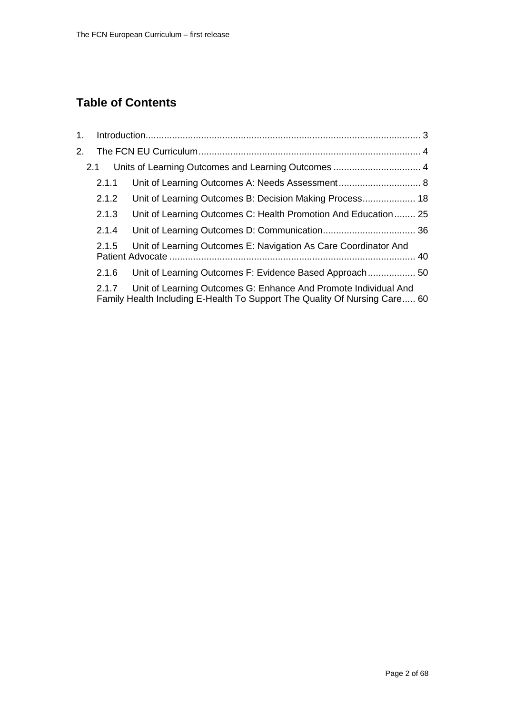## **Table of Contents**

| 2.1.1 |                                                                 |                                                                            |
|-------|-----------------------------------------------------------------|----------------------------------------------------------------------------|
| 2.1.2 |                                                                 |                                                                            |
| 2.1.3 | Unit of Learning Outcomes C: Health Promotion And Education 25  |                                                                            |
| 2.1.4 |                                                                 |                                                                            |
| 2.1.5 | Unit of Learning Outcomes E: Navigation As Care Coordinator And |                                                                            |
| 2.1.6 |                                                                 |                                                                            |
| 2.1.7 | Unit of Learning Outcomes G: Enhance And Promote Individual And |                                                                            |
|       | 2.1                                                             | Family Health Including E-Health To Support The Quality Of Nursing Care 60 |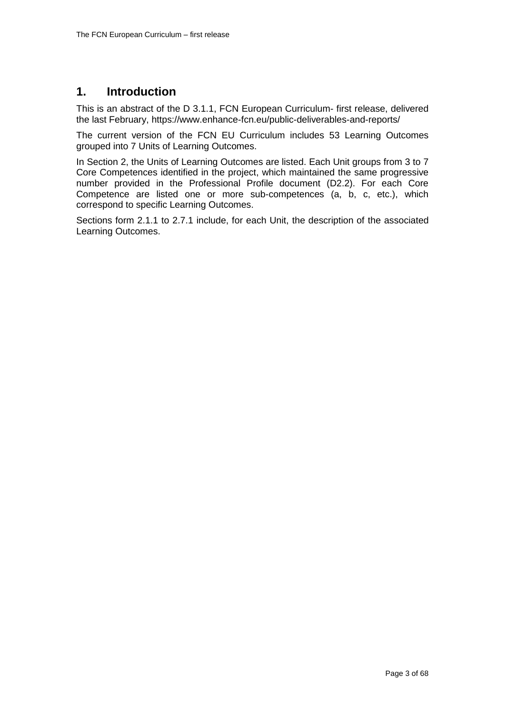### <span id="page-2-0"></span>**1. Introduction**

This is an abstract of the D 3.1.1, FCN European Curriculum- first release, delivered the last February, https://www.enhance-fcn.eu/public-deliverables-and-reports/

The current version of the FCN EU Curriculum includes 53 Learning Outcomes grouped into 7 Units of Learning Outcomes.

In Section 2, the Units of Learning Outcomes are listed. Each Unit groups from 3 to 7 Core Competences identified in the project, which maintained the same progressive number provided in the Professional Profile document (D2.2). For each Core Competence are listed one or more sub-competences (a, b, c, etc.), which correspond to specific Learning Outcomes.

Sections form 2.1.1 to 2.7.1 include, for each Unit, the description of the associated Learning Outcomes.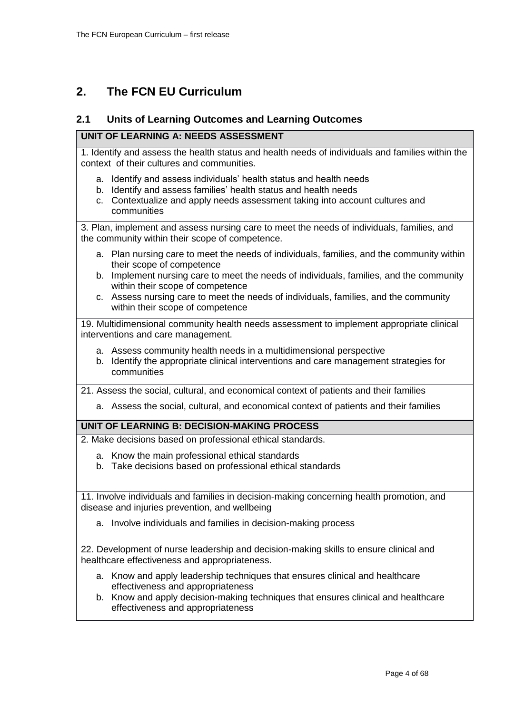### <span id="page-3-0"></span>**2. The FCN EU Curriculum**

### <span id="page-3-1"></span>**2.1 Units of Learning Outcomes and Learning Outcomes**

### **UNIT OF LEARNING A: NEEDS ASSESSMENT**

1. Identify and assess the health status and health needs of individuals and families within the context of their cultures and communities.

- a. Identify and assess individuals' health status and health needs
- b. Identify and assess families' health status and health needs
- c. Contextualize and apply needs assessment taking into account cultures and communities

3. Plan, implement and assess nursing care to meet the needs of individuals, families, and the community within their scope of competence.

- a. Plan nursing care to meet the needs of individuals, families, and the community within their scope of competence
- b. Implement nursing care to meet the needs of individuals, families, and the community within their scope of competence
- c. Assess nursing care to meet the needs of individuals, families, and the community within their scope of competence

19. Multidimensional community health needs assessment to implement appropriate clinical interventions and care management.

- a. Assess community health needs in a multidimensional perspective
- b. Identify the appropriate clinical interventions and care management strategies for communities

21. Assess the social, cultural, and economical context of patients and their families

a. Assess the social, cultural, and economical context of patients and their families

### **UNIT OF LEARNING B: DECISION-MAKING PROCESS**

2. Make decisions based on professional ethical standards.

- a. Know the main professional ethical standards
- b. Take decisions based on professional ethical standards

11. Involve individuals and families in decision-making concerning health promotion, and disease and injuries prevention, and wellbeing

a. Involve individuals and families in decision-making process

22. Development of nurse leadership and decision-making skills to ensure clinical and healthcare effectiveness and appropriateness.

- a. Know and apply leadership techniques that ensures clinical and healthcare effectiveness and appropriateness
- b. Know and apply decision-making techniques that ensures clinical and healthcare effectiveness and appropriateness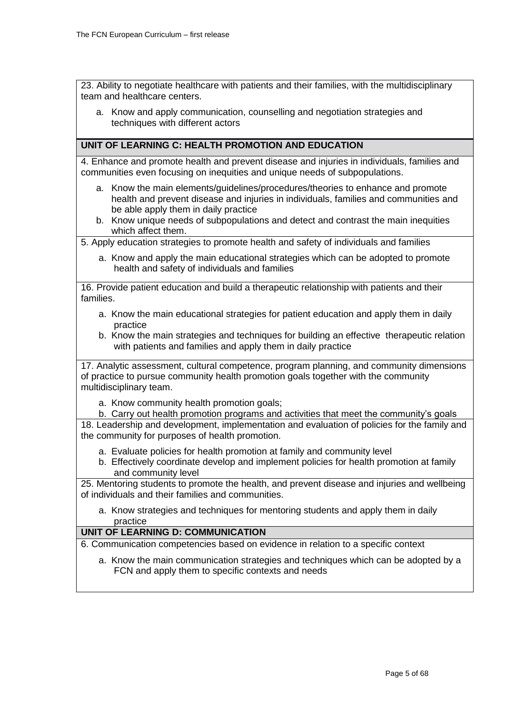23. Ability to negotiate healthcare with patients and their families, with the multidisciplinary team and healthcare centers.

a. Know and apply communication, counselling and negotiation strategies and techniques with different actors

### **UNIT OF LEARNING C: HEALTH PROMOTION AND EDUCATION**

4. Enhance and promote health and prevent disease and injuries in individuals, families and communities even focusing on inequities and unique needs of subpopulations.

- a. Know the main elements/guidelines/procedures/theories to enhance and promote health and prevent disease and injuries in individuals, families and communities and be able apply them in daily practice
- b. Know unique needs of subpopulations and detect and contrast the main inequities which affect them.

5. Apply education strategies to promote health and safety of individuals and families

a. Know and apply the main educational strategies which can be adopted to promote health and safety of individuals and families

16. Provide patient education and build a therapeutic relationship with patients and their families.

- a. Know the main educational strategies for patient education and apply them in daily practice
- b. Know the main strategies and techniques for building an effective therapeutic relation with patients and families and apply them in daily practice

17. Analytic assessment, cultural competence, program planning, and community dimensions of practice to pursue community health promotion goals together with the community multidisciplinary team.

- a. Know community health promotion goals;
- b. Carry out health promotion programs and activities that meet the community's goals

18. Leadership and development, implementation and evaluation of policies for the family and the community for purposes of health promotion.

- a. Evaluate policies for health promotion at family and community level
- b. Effectively coordinate develop and implement policies for health promotion at family and community level

25. Mentoring students to promote the health, and prevent disease and injuries and wellbeing of individuals and their families and communities.

a. Know strategies and techniques for mentoring students and apply them in daily practice

### **UNIT OF LEARNING D: COMMUNICATION**

6. Communication competencies based on evidence in relation to a specific context

a. Know the main communication strategies and techniques which can be adopted by a FCN and apply them to specific contexts and needs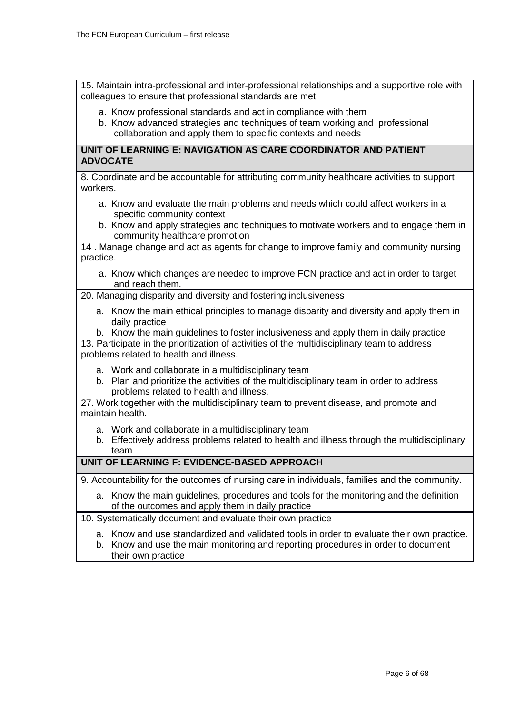15. Maintain intra-professional and inter-professional relationships and a supportive role with colleagues to ensure that professional standards are met.

a. Know professional standards and act in compliance with them

b. Know advanced strategies and techniques of team working and professional collaboration and apply them to specific contexts and needs

### **UNIT OF LEARNING E: NAVIGATION AS CARE COORDINATOR AND PATIENT ADVOCATE**

8. Coordinate and be accountable for attributing community healthcare activities to support workers.

- a. Know and evaluate the main problems and needs which could affect workers in a specific community context
- b. Know and apply strategies and techniques to motivate workers and to engage them in community healthcare promotion

14 . Manage change and act as agents for change to improve family and community nursing practice.

a. Know which changes are needed to improve FCN practice and act in order to target and reach them.

20. Managing disparity and diversity and fostering inclusiveness

- a. Know the main ethical principles to manage disparity and diversity and apply them in daily practice
- b. Know the main guidelines to foster inclusiveness and apply them in daily practice

13. Participate in the prioritization of activities of the multidisciplinary team to address problems related to health and illness.

- a. Work and collaborate in a multidisciplinary team
- b. Plan and prioritize the activities of the multidisciplinary team in order to address problems related to health and illness.

27. Work together with the multidisciplinary team to prevent disease, and promote and maintain health.

- a. Work and collaborate in a multidisciplinary team
- b. Effectively address problems related to health and illness through the multidisciplinary team

### **UNIT OF LEARNING F: EVIDENCE-BASED APPROACH**

9. Accountability for the outcomes of nursing care in individuals, families and the community.

- a. Know the main guidelines, procedures and tools for the monitoring and the definition of the outcomes and apply them in daily practice
- 10. Systematically document and evaluate their own practice
	- a. Know and use standardized and validated tools in order to evaluate their own practice.
	- b. Know and use the main monitoring and reporting procedures in order to document their own practice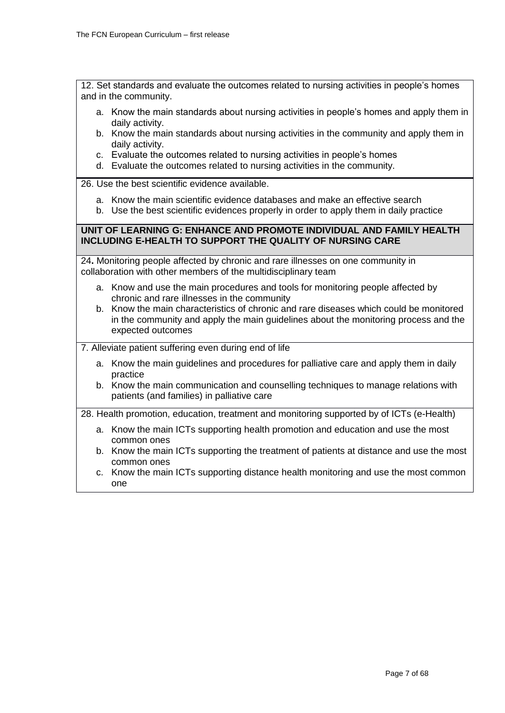12. Set standards and evaluate the outcomes related to nursing activities in people's homes and in the community.

- a. Know the main standards about nursing activities in people's homes and apply them in daily activity.
- b. Know the main standards about nursing activities in the community and apply them in daily activity.
- c. Evaluate the outcomes related to nursing activities in people's homes
- d. Evaluate the outcomes related to nursing activities in the community.

26. Use the best scientific evidence available.

- a. Know the main scientific evidence databases and make an effective search
- b. Use the best scientific evidences properly in order to apply them in daily practice

### **UNIT OF LEARNING G: ENHANCE AND PROMOTE INDIVIDUAL AND FAMILY HEALTH INCLUDING E-HEALTH TO SUPPORT THE QUALITY OF NURSING CARE**

24**.** Monitoring people affected by chronic and rare illnesses on one community in collaboration with other members of the multidisciplinary team

- a. Know and use the main procedures and tools for monitoring people affected by chronic and rare illnesses in the community
- b. Know the main characteristics of chronic and rare diseases which could be monitored in the community and apply the main guidelines about the monitoring process and the expected outcomes

7. Alleviate patient suffering even during end of life

- a. Know the main guidelines and procedures for palliative care and apply them in daily practice
- b. Know the main communication and counselling techniques to manage relations with patients (and families) in palliative care

28. Health promotion, education, treatment and monitoring supported by of ICTs (e-Health)

- a. Know the main ICTs supporting health promotion and education and use the most common ones
- b. Know the main ICTs supporting the treatment of patients at distance and use the most common ones
- c. Know the main ICTs supporting distance health monitoring and use the most common one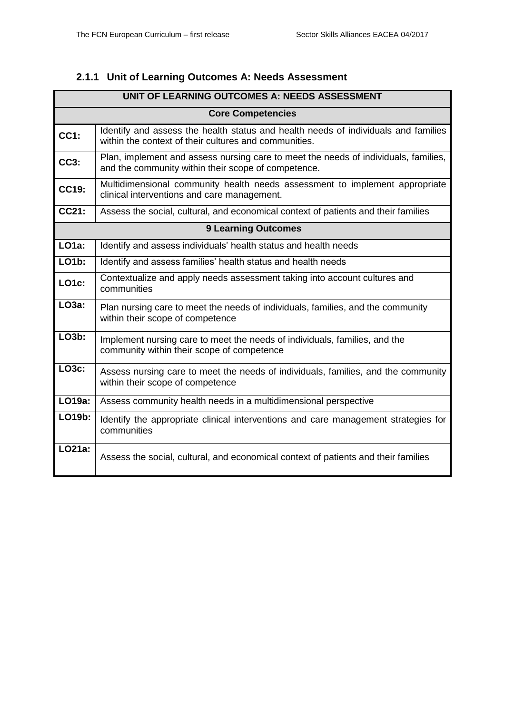### <span id="page-7-0"></span>**2.1.1 Unit of Learning Outcomes A: Needs Assessment**

| UNIT OF LEARNING OUTCOMES A: NEEDS ASSESSMENT |                                                                                                                                             |  |  |
|-----------------------------------------------|---------------------------------------------------------------------------------------------------------------------------------------------|--|--|
|                                               | <b>Core Competencies</b>                                                                                                                    |  |  |
| <b>CC1:</b>                                   | Identify and assess the health status and health needs of individuals and families<br>within the context of their cultures and communities. |  |  |
| <b>CC3:</b>                                   | Plan, implement and assess nursing care to meet the needs of individuals, families,<br>and the community within their scope of competence.  |  |  |
| CC19:                                         | Multidimensional community health needs assessment to implement appropriate<br>clinical interventions and care management.                  |  |  |
| CC21:                                         | Assess the social, cultural, and economical context of patients and their families                                                          |  |  |
| <b>9 Learning Outcomes</b>                    |                                                                                                                                             |  |  |
| <b>LO1a:</b>                                  | Identify and assess individuals' health status and health needs                                                                             |  |  |
| <b>LO1b:</b>                                  | Identify and assess families' health status and health needs                                                                                |  |  |
| <b>LO1c:</b>                                  | Contextualize and apply needs assessment taking into account cultures and<br>communities                                                    |  |  |
| LO3a:                                         | Plan nursing care to meet the needs of individuals, families, and the community<br>within their scope of competence                         |  |  |
| <b>LO3b:</b>                                  | Implement nursing care to meet the needs of individuals, families, and the<br>community within their scope of competence                    |  |  |
| <b>LO3c:</b>                                  | Assess nursing care to meet the needs of individuals, families, and the community<br>within their scope of competence                       |  |  |
| LO19a:                                        | Assess community health needs in a multidimensional perspective                                                                             |  |  |
| LO19b:                                        | Identify the appropriate clinical interventions and care management strategies for<br>communities                                           |  |  |
| LO21a:                                        | Assess the social, cultural, and economical context of patients and their families                                                          |  |  |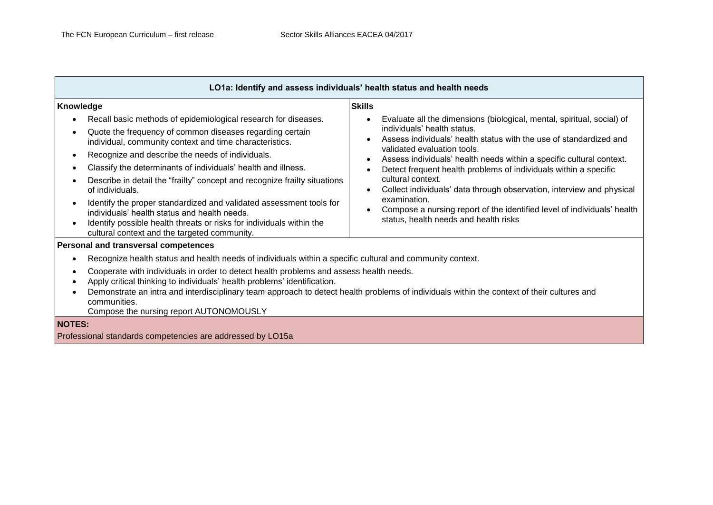| LO1a: Identify and assess individuals' health status and health needs                                                                                                                                                                                                                                                                                                                                                                                                                                                                                                                                                                                                                                         |                                                                                                                                                                                                                                                                                                                                                                                                                                                                                                                                                                                                                                                                        |  |  |
|---------------------------------------------------------------------------------------------------------------------------------------------------------------------------------------------------------------------------------------------------------------------------------------------------------------------------------------------------------------------------------------------------------------------------------------------------------------------------------------------------------------------------------------------------------------------------------------------------------------------------------------------------------------------------------------------------------------|------------------------------------------------------------------------------------------------------------------------------------------------------------------------------------------------------------------------------------------------------------------------------------------------------------------------------------------------------------------------------------------------------------------------------------------------------------------------------------------------------------------------------------------------------------------------------------------------------------------------------------------------------------------------|--|--|
| Knowledge                                                                                                                                                                                                                                                                                                                                                                                                                                                                                                                                                                                                                                                                                                     | <b>Skills</b>                                                                                                                                                                                                                                                                                                                                                                                                                                                                                                                                                                                                                                                          |  |  |
| Recall basic methods of epidemiological research for diseases.<br>$\bullet$<br>Quote the frequency of common diseases regarding certain<br>individual, community context and time characteristics.<br>Recognize and describe the needs of individuals.<br>$\bullet$<br>Classify the determinants of individuals' health and illness.<br>$\bullet$<br>Describe in detail the "frailty" concept and recognize frailty situations<br>of individuals.<br>Identify the proper standardized and validated assessment tools for<br>individuals' health status and health needs.<br>Identify possible health threats or risks for individuals within the<br>$\bullet$<br>cultural context and the targeted community. | Evaluate all the dimensions (biological, mental, spiritual, social) of<br>$\bullet$<br>individuals' health status.<br>Assess individuals' health status with the use of standardized and<br>$\bullet$<br>validated evaluation tools.<br>Assess individuals' health needs within a specific cultural context.<br>$\bullet$<br>Detect frequent health problems of individuals within a specific<br>$\bullet$<br>cultural context.<br>Collect individuals' data through observation, interview and physical<br>$\bullet$<br>examination.<br>Compose a nursing report of the identified level of individuals' health<br>$\bullet$<br>status, health needs and health risks |  |  |
| Personal and transversal competences                                                                                                                                                                                                                                                                                                                                                                                                                                                                                                                                                                                                                                                                          |                                                                                                                                                                                                                                                                                                                                                                                                                                                                                                                                                                                                                                                                        |  |  |
| Recognize health status and health needs of individuals within a specific cultural and community context.                                                                                                                                                                                                                                                                                                                                                                                                                                                                                                                                                                                                     |                                                                                                                                                                                                                                                                                                                                                                                                                                                                                                                                                                                                                                                                        |  |  |
| Cooperate with individuals in order to detect health problems and assess health needs.<br>Apply critical thinking to individuals' health problems' identification.<br>Demonstrate an intra and interdisciplinary team approach to detect health problems of individuals within the context of their cultures and<br>communities.<br>Compose the nursing report AUTONOMOUSLY                                                                                                                                                                                                                                                                                                                                   |                                                                                                                                                                                                                                                                                                                                                                                                                                                                                                                                                                                                                                                                        |  |  |
| <b>NOTES:</b>                                                                                                                                                                                                                                                                                                                                                                                                                                                                                                                                                                                                                                                                                                 |                                                                                                                                                                                                                                                                                                                                                                                                                                                                                                                                                                                                                                                                        |  |  |
| Professional standards competencies are addressed by LO15a                                                                                                                                                                                                                                                                                                                                                                                                                                                                                                                                                                                                                                                    |                                                                                                                                                                                                                                                                                                                                                                                                                                                                                                                                                                                                                                                                        |  |  |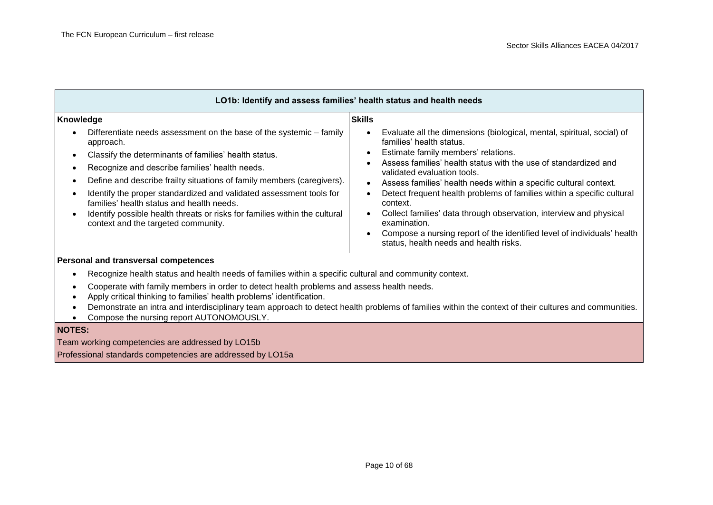| LO1b: Identify and assess families' health status and health needs                                                                                                                                                                                                                                                                                                                                                                                                                                                                                                                                                                   |                                                                                                                                                                                                                                                                                                                                                                                                                                                                                                                                                                                                                                                                                                                               |                                                                                                             |
|--------------------------------------------------------------------------------------------------------------------------------------------------------------------------------------------------------------------------------------------------------------------------------------------------------------------------------------------------------------------------------------------------------------------------------------------------------------------------------------------------------------------------------------------------------------------------------------------------------------------------------------|-------------------------------------------------------------------------------------------------------------------------------------------------------------------------------------------------------------------------------------------------------------------------------------------------------------------------------------------------------------------------------------------------------------------------------------------------------------------------------------------------------------------------------------------------------------------------------------------------------------------------------------------------------------------------------------------------------------------------------|-------------------------------------------------------------------------------------------------------------|
| Knowledge<br>Differentiate needs assessment on the base of the systemic - family<br>approach.<br>Classify the determinants of families' health status.<br>$\bullet$<br>Recognize and describe families' health needs.<br>$\bullet$<br>Define and describe frailty situations of family members (caregivers).<br>$\bullet$<br>Identify the proper standardized and validated assessment tools for<br>$\bullet$<br>families' health status and health needs.<br>Identify possible health threats or risks for families within the cultural<br>$\bullet$<br>context and the targeted community.<br>Personal and transversal competences | <b>Skills</b><br>Evaluate all the dimensions (biological, mental, spiritual, social) of<br>$\bullet$<br>families' health status.<br>Estimate family members' relations.<br>$\bullet$<br>Assess families' health status with the use of standardized and<br>$\bullet$<br>validated evaluation tools.<br>Assess families' health needs within a specific cultural context.<br>$\bullet$<br>Detect frequent health problems of families within a specific cultural<br>$\bullet$<br>context.<br>Collect families' data through observation, interview and physical<br>$\bullet$<br>examination.<br>Compose a nursing report of the identified level of individuals' health<br>$\bullet$<br>status, health needs and health risks. |                                                                                                             |
|                                                                                                                                                                                                                                                                                                                                                                                                                                                                                                                                                                                                                                      |                                                                                                                                                                                                                                                                                                                                                                                                                                                                                                                                                                                                                                                                                                                               | Recognize health status and health needs of families within a specific cultural and community context.<br>٠ |
| Cooperate with family members in order to detect health problems and assess health needs.<br>٠<br>Apply critical thinking to families' health problems' identification.<br>$\bullet$<br>Demonstrate an intra and interdisciplinary team approach to detect health problems of families within the context of their cultures and communities.<br>$\bullet$<br>Compose the nursing report AUTONOMOUSLY.                                                                                                                                                                                                                                |                                                                                                                                                                                                                                                                                                                                                                                                                                                                                                                                                                                                                                                                                                                               |                                                                                                             |
| <b>NOTES:</b><br>$T_{\text{max}}$ washing compatencies are addressed by $\bigcap_{\alpha}$                                                                                                                                                                                                                                                                                                                                                                                                                                                                                                                                           |                                                                                                                                                                                                                                                                                                                                                                                                                                                                                                                                                                                                                                                                                                                               |                                                                                                             |

Team working competencies are addressed by LO15b

Professional standards competencies are addressed by LO15a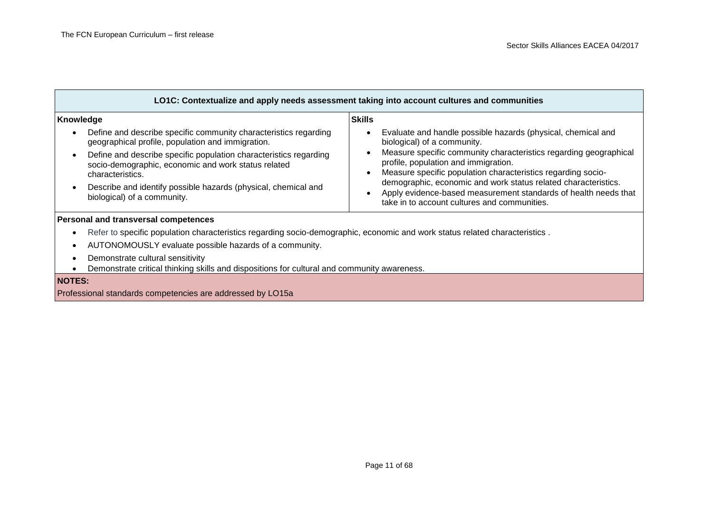г

| LO1C: Contextualize and apply needs assessment taking into account cultures and communities                                                  |                                                                                                                                                                                   |  |  |
|----------------------------------------------------------------------------------------------------------------------------------------------|-----------------------------------------------------------------------------------------------------------------------------------------------------------------------------------|--|--|
| Knowledge                                                                                                                                    | <b>Skills</b>                                                                                                                                                                     |  |  |
| Define and describe specific community characteristics regarding<br>geographical profile, population and immigration.                        | Evaluate and handle possible hazards (physical, chemical and<br>biological) of a community.                                                                                       |  |  |
| Define and describe specific population characteristics regarding<br>socio-demographic, economic and work status related<br>characteristics. | Measure specific community characteristics regarding geographical<br>profile, population and immigration.<br>Measure specific population characteristics regarding socio-         |  |  |
| Describe and identify possible hazards (physical, chemical and<br>biological) of a community.                                                | demographic, economic and work status related characteristics.<br>Apply evidence-based measurement standards of health needs that<br>take in to account cultures and communities. |  |  |
| Personal and transversal competences                                                                                                         |                                                                                                                                                                                   |  |  |
| Refer to specific population characteristics regarding socio-demographic, economic and work status related characteristics.                  |                                                                                                                                                                                   |  |  |
| AUTONOMOUSLY evaluate possible hazards of a community.                                                                                       |                                                                                                                                                                                   |  |  |
| Demonstrate cultural sensitivity<br>Demonstrate critical thinking skills and dispositions for cultural and community awareness.              |                                                                                                                                                                                   |  |  |
| <b>NOTES:</b>                                                                                                                                |                                                                                                                                                                                   |  |  |
| Professional standards competencies are addressed by LO15a                                                                                   |                                                                                                                                                                                   |  |  |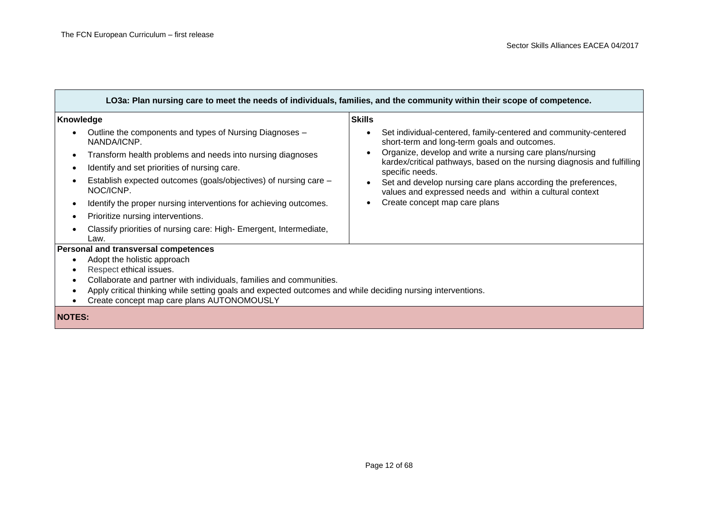| LO3a: Plan nursing care to meet the needs of individuals, families, and the community within their scope of competence. |                                                                                                                                     |  |
|-------------------------------------------------------------------------------------------------------------------------|-------------------------------------------------------------------------------------------------------------------------------------|--|
| Knowledge                                                                                                               | <b>Skills</b>                                                                                                                       |  |
| Outline the components and types of Nursing Diagnoses -<br>NANDA/ICNP.                                                  | Set individual-centered, family-centered and community-centered<br>short-term and long-term goals and outcomes.                     |  |
| Transform health problems and needs into nursing diagnoses                                                              | Organize, develop and write a nursing care plans/nursing<br>kardex/critical pathways, based on the nursing diagnosis and fulfilling |  |
| Identify and set priorities of nursing care.                                                                            | specific needs.                                                                                                                     |  |
| Establish expected outcomes (goals/objectives) of nursing care -<br>NOC/ICNP.                                           | Set and develop nursing care plans according the preferences,<br>values and expressed needs and within a cultural context           |  |
| Identify the proper nursing interventions for achieving outcomes.                                                       | Create concept map care plans                                                                                                       |  |
| Prioritize nursing interventions.                                                                                       |                                                                                                                                     |  |
| Classify priorities of nursing care: High- Emergent, Intermediate,<br>Law.                                              |                                                                                                                                     |  |
| <b>Personal and transversal competences</b>                                                                             |                                                                                                                                     |  |
| Adopt the holistic approach                                                                                             |                                                                                                                                     |  |
| Respect ethical issues.                                                                                                 |                                                                                                                                     |  |
| Collaborate and partner with individuals, families and communities.                                                     |                                                                                                                                     |  |
| Apply critical thinking while setting goals and expected outcomes and while deciding nursing interventions.             |                                                                                                                                     |  |
| Create concept map care plans AUTONOMOUSLY<br>$\bullet$                                                                 |                                                                                                                                     |  |
| <b>NOTES:</b>                                                                                                           |                                                                                                                                     |  |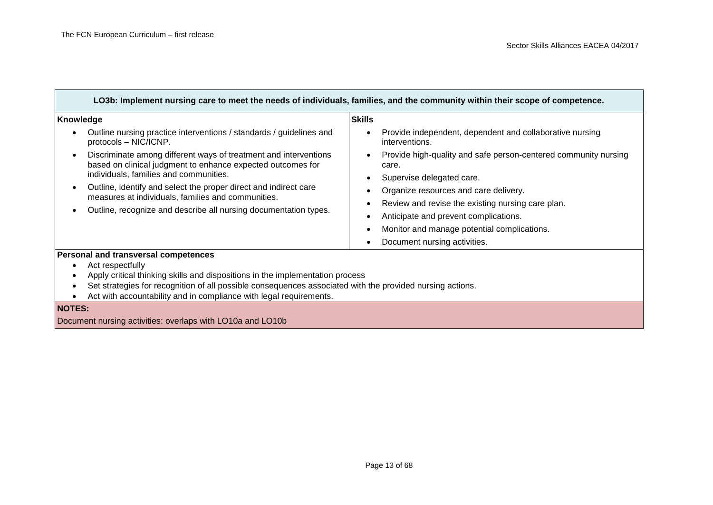| LO3b: Implement nursing care to meet the needs of individuals, families, and the community within their scope of competence.                                                                                                                                                                                                                                            |                                                                                                                                                                                                                                                                                                                                          |  |  |
|-------------------------------------------------------------------------------------------------------------------------------------------------------------------------------------------------------------------------------------------------------------------------------------------------------------------------------------------------------------------------|------------------------------------------------------------------------------------------------------------------------------------------------------------------------------------------------------------------------------------------------------------------------------------------------------------------------------------------|--|--|
| Knowledge                                                                                                                                                                                                                                                                                                                                                               | <b>Skills</b>                                                                                                                                                                                                                                                                                                                            |  |  |
| Outline nursing practice interventions / standards / guidelines and<br>protocols - NIC/ICNP.                                                                                                                                                                                                                                                                            | Provide independent, dependent and collaborative nursing<br>interventions.                                                                                                                                                                                                                                                               |  |  |
| Discriminate among different ways of treatment and interventions<br>based on clinical judgment to enhance expected outcomes for<br>individuals, families and communities.<br>Outline, identify and select the proper direct and indirect care<br>measures at individuals, families and communities.<br>Outline, recognize and describe all nursing documentation types. | Provide high-quality and safe person-centered community nursing<br>care.<br>Supervise delegated care.<br>Organize resources and care delivery.<br>Review and revise the existing nursing care plan.<br>Anticipate and prevent complications.<br>Monitor and manage potential complications.<br>Document nursing activities.<br>$\bullet$ |  |  |
| Personal and transversal competences<br>Act respectfully<br>Apply critical thinking skills and dispositions in the implementation process<br>Set strategies for recognition of all possible consequences associated with the provided nursing actions.<br>Act with accountability and in compliance with legal requirements.                                            |                                                                                                                                                                                                                                                                                                                                          |  |  |
| <b>NOTES:</b><br>Document nursing activities: overlaps with LO10a and LO10b                                                                                                                                                                                                                                                                                             |                                                                                                                                                                                                                                                                                                                                          |  |  |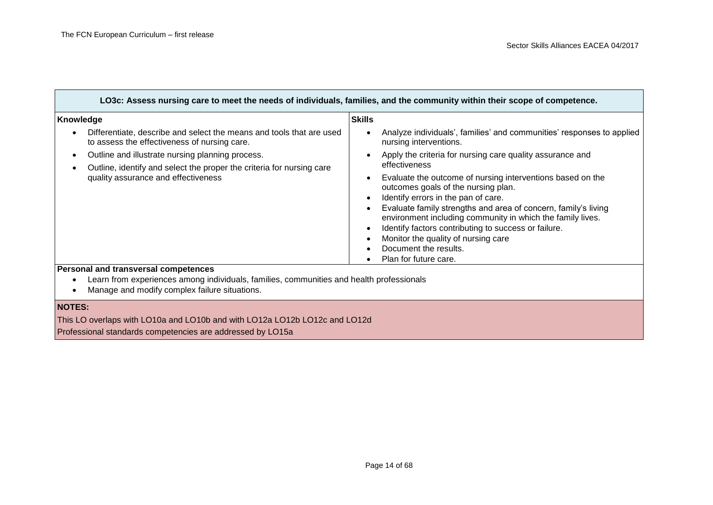┓

| LO3c: Assess nursing care to meet the needs of individuals, families, and the community within their scope of competence.                                                         |                                                                                                                                                                                                                                                                                                                                                                                                                                                                                                         |  |
|-----------------------------------------------------------------------------------------------------------------------------------------------------------------------------------|---------------------------------------------------------------------------------------------------------------------------------------------------------------------------------------------------------------------------------------------------------------------------------------------------------------------------------------------------------------------------------------------------------------------------------------------------------------------------------------------------------|--|
| Knowledge                                                                                                                                                                         | <b>Skills</b>                                                                                                                                                                                                                                                                                                                                                                                                                                                                                           |  |
| Differentiate, describe and select the means and tools that are used<br>to assess the effectiveness of nursing care.                                                              | Analyze individuals', families' and communities' responses to applied<br>$\bullet$<br>nursing interventions.                                                                                                                                                                                                                                                                                                                                                                                            |  |
| Outline and illustrate nursing planning process.                                                                                                                                  | Apply the criteria for nursing care quality assurance and<br>$\bullet$                                                                                                                                                                                                                                                                                                                                                                                                                                  |  |
| Outline, identify and select the proper the criteria for nursing care                                                                                                             | effectiveness                                                                                                                                                                                                                                                                                                                                                                                                                                                                                           |  |
| quality assurance and effectiveness                                                                                                                                               | Evaluate the outcome of nursing interventions based on the<br>$\bullet$<br>outcomes goals of the nursing plan.<br>Identify errors in the pan of care.<br>$\bullet$<br>Evaluate family strengths and area of concern, family's living<br>$\bullet$<br>environment including community in which the family lives.<br>Identify factors contributing to success or failure.<br>$\bullet$<br>Monitor the quality of nursing care<br>$\bullet$<br>Document the results.<br>$\bullet$<br>Plan for future care. |  |
| Personal and transversal competences<br>Learn from experiences among individuals, families, communities and health professionals<br>Manage and modify complex failure situations. |                                                                                                                                                                                                                                                                                                                                                                                                                                                                                                         |  |

**NOTES:**

This LO overlaps with LO10a and LO10b and with LO12a LO12b LO12c and LO12d

Professional standards competencies are addressed by LO15a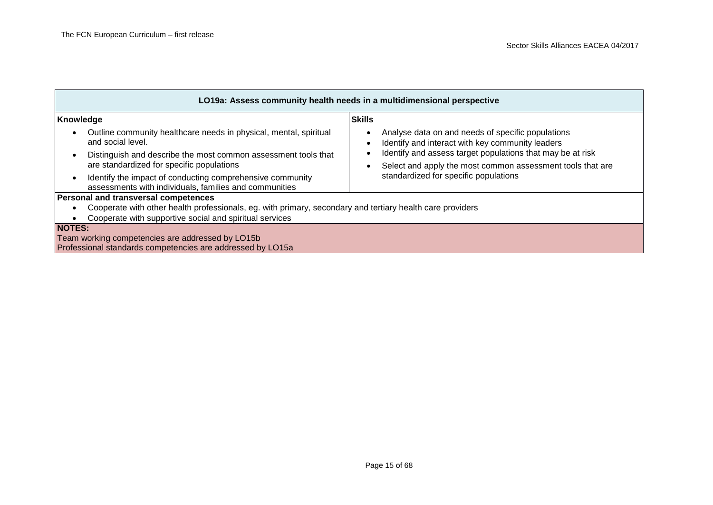| LO19a: Assess community health needs in a multidimensional perspective                                                           |                                                                                                                                       |  |  |
|----------------------------------------------------------------------------------------------------------------------------------|---------------------------------------------------------------------------------------------------------------------------------------|--|--|
| Knowledge                                                                                                                        | <b>Skills</b>                                                                                                                         |  |  |
| Outline community healthcare needs in physical, mental, spiritual<br>$\bullet$<br>and social level.                              | Analyse data on and needs of specific populations<br>$\bullet$<br>Identify and interact with key community leaders                    |  |  |
| Distinguish and describe the most common assessment tools that<br>are standardized for specific populations                      | Identify and assess target populations that may be at risk<br>Select and apply the most common assessment tools that are<br>$\bullet$ |  |  |
| Identify the impact of conducting comprehensive community<br>$\bullet$<br>assessments with individuals, families and communities | standardized for specific populations                                                                                                 |  |  |
| <b>Personal and transversal competences</b>                                                                                      |                                                                                                                                       |  |  |
| Cooperate with other health professionals, eg. with primary, secondary and tertiary health care providers<br>٠                   |                                                                                                                                       |  |  |
| Cooperate with supportive social and spiritual services                                                                          |                                                                                                                                       |  |  |
| <b>NOTES:</b>                                                                                                                    |                                                                                                                                       |  |  |
| Team working competencies are addressed by LO15b                                                                                 |                                                                                                                                       |  |  |
| Professional standards competencies are addressed by LO15a                                                                       |                                                                                                                                       |  |  |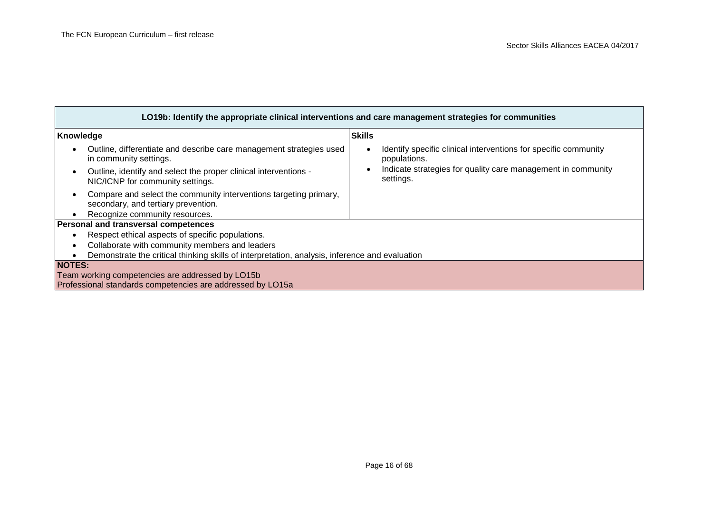| LO19b: Identify the appropriate clinical interventions and care management strategies for communities |                                                                                                                |               |                                                                                 |
|-------------------------------------------------------------------------------------------------------|----------------------------------------------------------------------------------------------------------------|---------------|---------------------------------------------------------------------------------|
| Knowledge                                                                                             |                                                                                                                | <b>Skills</b> |                                                                                 |
|                                                                                                       | Outline, differentiate and describe care management strategies used<br>in community settings.                  |               | Identify specific clinical interventions for specific community<br>populations. |
|                                                                                                       | Outline, identify and select the proper clinical interventions -<br>NIC/ICNP for community settings.           |               | Indicate strategies for quality care management in community<br>settings.       |
|                                                                                                       | Compare and select the community interventions targeting primary,<br>secondary, and tertiary prevention.       |               |                                                                                 |
|                                                                                                       | Recognize community resources.                                                                                 |               |                                                                                 |
|                                                                                                       | Personal and transversal competences                                                                           |               |                                                                                 |
|                                                                                                       | Respect ethical aspects of specific populations.                                                               |               |                                                                                 |
|                                                                                                       | Collaborate with community members and leaders                                                                 |               |                                                                                 |
| Demonstrate the critical thinking skills of interpretation, analysis, inference and evaluation        |                                                                                                                |               |                                                                                 |
| <b>NOTES:</b>                                                                                         | Team working competencies are addressed by LO15b<br>Professional standards competencies are addressed by LO15a |               |                                                                                 |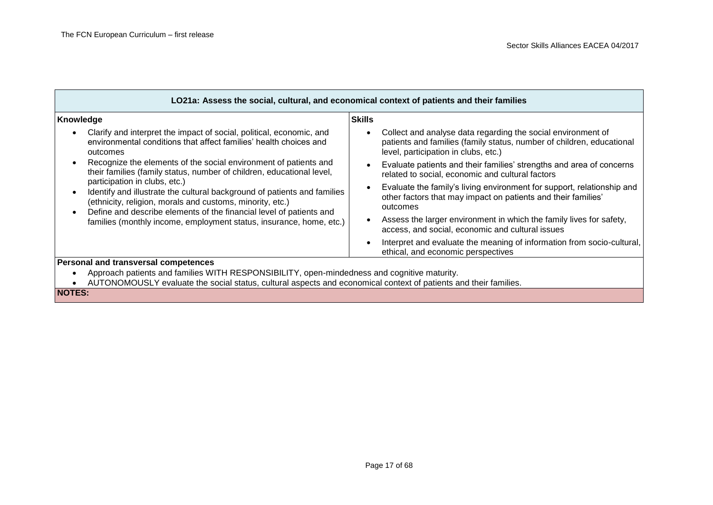| LO21a: Assess the social, cultural, and economical context of patients and their families                                                                                                                                                                               |                                                                                                                                                                               |  |
|-------------------------------------------------------------------------------------------------------------------------------------------------------------------------------------------------------------------------------------------------------------------------|-------------------------------------------------------------------------------------------------------------------------------------------------------------------------------|--|
| Knowledge                                                                                                                                                                                                                                                               | <b>Skills</b>                                                                                                                                                                 |  |
| Clarify and interpret the impact of social, political, economic, and<br>$\bullet$<br>environmental conditions that affect families' health choices and<br>outcomes                                                                                                      | Collect and analyse data regarding the social environment of<br>patients and families (family status, number of children, educational<br>level, participation in clubs, etc.) |  |
| Recognize the elements of the social environment of patients and<br>$\bullet$<br>their families (family status, number of children, educational level,                                                                                                                  | Evaluate patients and their families' strengths and area of concerns<br>related to social, economic and cultural factors                                                      |  |
| participation in clubs, etc.)<br>Identify and illustrate the cultural background of patients and families<br>$\bullet$<br>(ethnicity, religion, morals and customs, minority, etc.)<br>Define and describe elements of the financial level of patients and<br>$\bullet$ | Evaluate the family's living environment for support, relationship and<br>other factors that may impact on patients and their families'<br>outcomes                           |  |
| families (monthly income, employment status, insurance, home, etc.)                                                                                                                                                                                                     | Assess the larger environment in which the family lives for safety,<br>access, and social, economic and cultural issues                                                       |  |
|                                                                                                                                                                                                                                                                         | Interpret and evaluate the meaning of information from socio-cultural,<br>ethical, and economic perspectives                                                                  |  |
| Personal and transversal competences                                                                                                                                                                                                                                    |                                                                                                                                                                               |  |
| Approach patients and families WITH RESPONSIBILITY, open-mindedness and cognitive maturity.<br>$\bullet$<br>AUTONOMOUSLY evaluate the social status, cultural aspects and economical context of patients and their families.<br>$\cdots$                                |                                                                                                                                                                               |  |

**NOTES:**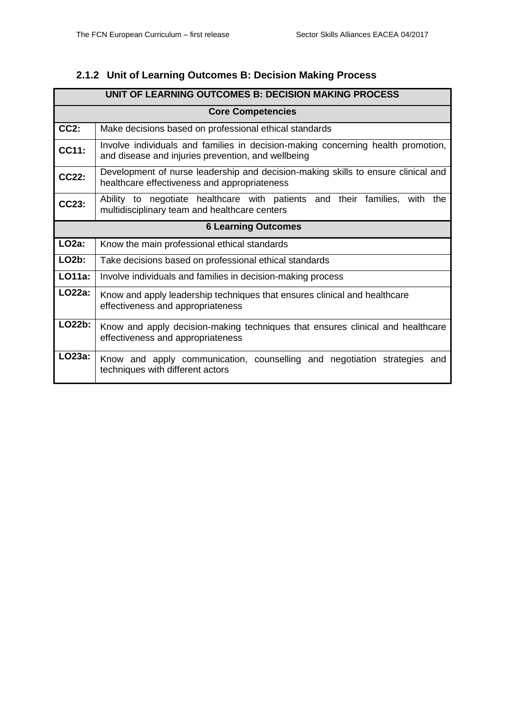### <span id="page-17-0"></span>**2.1.2 Unit of Learning Outcomes B: Decision Making Process**

|                            | UNIT OF LEARNING OUTCOMES B: DECISION MAKING PROCESS                                                                                   |  |  |  |
|----------------------------|----------------------------------------------------------------------------------------------------------------------------------------|--|--|--|
|                            | <b>Core Competencies</b>                                                                                                               |  |  |  |
| $CC2$ :                    | Make decisions based on professional ethical standards                                                                                 |  |  |  |
| CC11:                      | Involve individuals and families in decision-making concerning health promotion,<br>and disease and injuries prevention, and wellbeing |  |  |  |
| <b>CC22:</b>               | Development of nurse leadership and decision-making skills to ensure clinical and<br>healthcare effectiveness and appropriateness      |  |  |  |
| CC23:                      | Ability to negotiate healthcare with patients and their families, with<br>the<br>multidisciplinary team and healthcare centers         |  |  |  |
| <b>6 Learning Outcomes</b> |                                                                                                                                        |  |  |  |
| $LO2a$ :                   | Know the main professional ethical standards                                                                                           |  |  |  |
| $LO2b$ :                   | Take decisions based on professional ethical standards                                                                                 |  |  |  |
| LO11a:                     | Involve individuals and families in decision-making process                                                                            |  |  |  |
| LO22a:                     | Know and apply leadership techniques that ensures clinical and healthcare<br>effectiveness and appropriateness                         |  |  |  |
| LO22b:                     | Know and apply decision-making techniques that ensures clinical and healthcare<br>effectiveness and appropriateness                    |  |  |  |
| LO23a:                     | Know and apply communication, counselling and negotiation strategies and<br>techniques with different actors                           |  |  |  |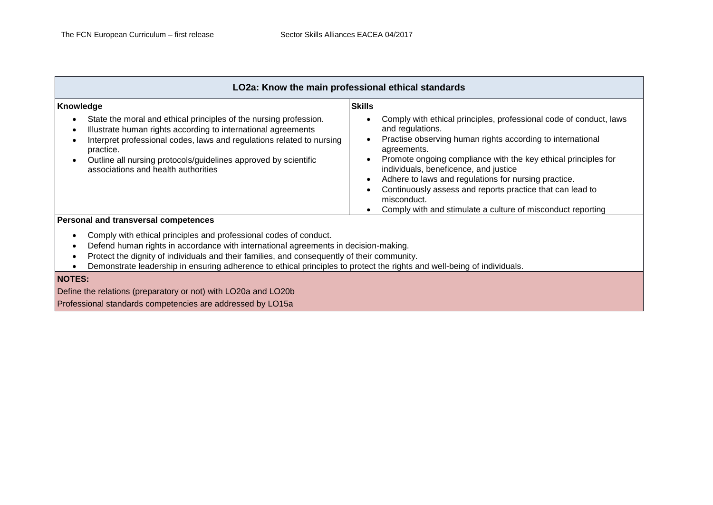| LO2a: Know the main professional ethical standards                                                                                                                                                                                                                                                                                                                                 |                                                                                                                                                                                                                                                                                                                           |  |
|------------------------------------------------------------------------------------------------------------------------------------------------------------------------------------------------------------------------------------------------------------------------------------------------------------------------------------------------------------------------------------|---------------------------------------------------------------------------------------------------------------------------------------------------------------------------------------------------------------------------------------------------------------------------------------------------------------------------|--|
| Knowledge<br>State the moral and ethical principles of the nursing profession.<br>Illustrate human rights according to international agreements<br>$\epsilon$<br>Interpret professional codes, laws and regulations related to nursing                                                                                                                                             | <b>Skills</b><br>Comply with ethical principles, professional code of conduct, laws<br>and regulations.<br>Practise observing human rights according to international                                                                                                                                                     |  |
| practice.<br>Outline all nursing protocols/guidelines approved by scientific<br>associations and health authorities                                                                                                                                                                                                                                                                | agreements.<br>Promote ongoing compliance with the key ethical principles for<br>individuals, beneficence, and justice<br>Adhere to laws and regulations for nursing practice.<br>Continuously assess and reports practice that can lead to<br>misconduct.<br>Comply with and stimulate a culture of misconduct reporting |  |
| Personal and transversal competences                                                                                                                                                                                                                                                                                                                                               |                                                                                                                                                                                                                                                                                                                           |  |
| Comply with ethical principles and professional codes of conduct.<br>Defend human rights in accordance with international agreements in decision-making.<br>Protect the dignity of individuals and their families, and consequently of their community.<br>Demonstrate leadership in ensuring adherence to ethical principles to protect the rights and well-being of individuals. |                                                                                                                                                                                                                                                                                                                           |  |
| <b>NOTES:</b><br>Define the relations (preparatory or not) with LO20a and LO20b<br>Professional standards competencies are addressed by LO15a                                                                                                                                                                                                                                      |                                                                                                                                                                                                                                                                                                                           |  |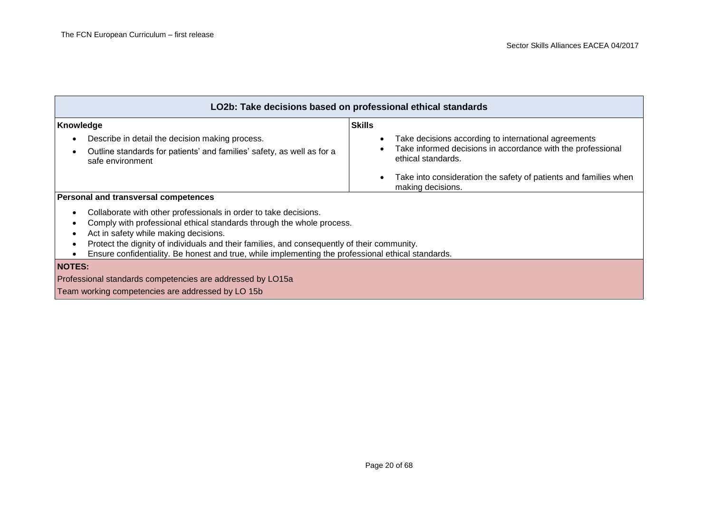| LO2b: Take decisions based on professional ethical standards                                                                                                                                                                                                                                                                                                                                                      |                                                                                                                                           |  |
|-------------------------------------------------------------------------------------------------------------------------------------------------------------------------------------------------------------------------------------------------------------------------------------------------------------------------------------------------------------------------------------------------------------------|-------------------------------------------------------------------------------------------------------------------------------------------|--|
| Knowledge                                                                                                                                                                                                                                                                                                                                                                                                         | <b>Skills</b>                                                                                                                             |  |
| Describe in detail the decision making process.<br>$\bullet$<br>Outline standards for patients' and families' safety, as well as for a<br>safe environment                                                                                                                                                                                                                                                        | Take decisions according to international agreements<br>Take informed decisions in accordance with the professional<br>ethical standards. |  |
|                                                                                                                                                                                                                                                                                                                                                                                                                   | Take into consideration the safety of patients and families when<br>making decisions.                                                     |  |
| Personal and transversal competences                                                                                                                                                                                                                                                                                                                                                                              |                                                                                                                                           |  |
| Collaborate with other professionals in order to take decisions.<br>$\bullet$<br>Comply with professional ethical standards through the whole process.<br>Act in safety while making decisions.<br>Protect the dignity of individuals and their families, and consequently of their community.<br>$\bullet$<br>Ensure confidentiality. Be honest and true, while implementing the professional ethical standards. |                                                                                                                                           |  |
| <b>NOTES:</b>                                                                                                                                                                                                                                                                                                                                                                                                     |                                                                                                                                           |  |
| Professional standards competencies are addressed by LO15a                                                                                                                                                                                                                                                                                                                                                        |                                                                                                                                           |  |
| Team working competencies are addressed by LO 15b                                                                                                                                                                                                                                                                                                                                                                 |                                                                                                                                           |  |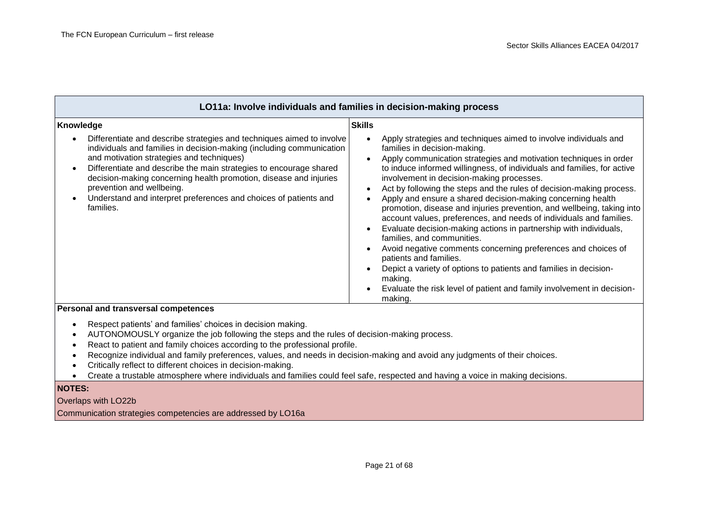| LO11a: Involve individuals and families in decision-making process                                                                                                                                                                                                                                                                                                                                                                                                                                                                        |                                                                                                                                                                                                                                                                                                                                                                                                                                                                                                                                                                                                                                                                                                                                                                                                                                                                                                                                                                                                                           |
|-------------------------------------------------------------------------------------------------------------------------------------------------------------------------------------------------------------------------------------------------------------------------------------------------------------------------------------------------------------------------------------------------------------------------------------------------------------------------------------------------------------------------------------------|---------------------------------------------------------------------------------------------------------------------------------------------------------------------------------------------------------------------------------------------------------------------------------------------------------------------------------------------------------------------------------------------------------------------------------------------------------------------------------------------------------------------------------------------------------------------------------------------------------------------------------------------------------------------------------------------------------------------------------------------------------------------------------------------------------------------------------------------------------------------------------------------------------------------------------------------------------------------------------------------------------------------------|
| Knowledge                                                                                                                                                                                                                                                                                                                                                                                                                                                                                                                                 | <b>Skills</b>                                                                                                                                                                                                                                                                                                                                                                                                                                                                                                                                                                                                                                                                                                                                                                                                                                                                                                                                                                                                             |
| Differentiate and describe strategies and techniques aimed to involve<br>$\bullet$<br>individuals and families in decision-making (including communication<br>and motivation strategies and techniques)<br>Differentiate and describe the main strategies to encourage shared<br>$\bullet$<br>decision-making concerning health promotion, disease and injuries<br>prevention and wellbeing.<br>Understand and interpret preferences and choices of patients and<br>$\bullet$<br>families.<br><b>Dorsonal and transvorsal compatences</b> | Apply strategies and techniques aimed to involve individuals and<br>families in decision-making.<br>Apply communication strategies and motivation techniques in order<br>$\bullet$<br>to induce informed willingness, of individuals and families, for active<br>involvement in decision-making processes.<br>Act by following the steps and the rules of decision-making process.<br>$\bullet$<br>Apply and ensure a shared decision-making concerning health<br>promotion, disease and injuries prevention, and wellbeing, taking into<br>account values, preferences, and needs of individuals and families.<br>Evaluate decision-making actions in partnership with individuals,<br>$\bullet$<br>families, and communities.<br>Avoid negative comments concerning preferences and choices of<br>$\bullet$<br>patients and families.<br>Depict a variety of options to patients and families in decision-<br>making.<br>Evaluate the risk level of patient and family involvement in decision-<br>$\bullet$<br>making. |

#### **Personal and transversal competences**

- Respect patients' and families' choices in decision making.
- AUTONOMOUSLY organize the job following the steps and the rules of decision-making process.
- React to patient and family choices according to the professional profile.
- Recognize individual and family preferences, values, and needs in decision-making and avoid any judgments of their choices.
- Critically reflect to different choices in decision-making.
- Create a trustable atmosphere where individuals and families could feel safe, respected and having a voice in making decisions.

### **NOTES:**

#### Overlaps with LO22b

Communication strategies competencies are addressed by LO16a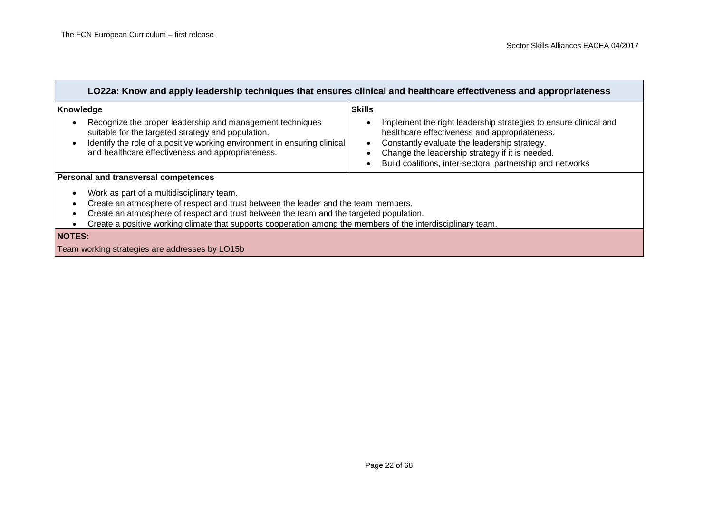| LO22a: Know and apply leadership techniques that ensures clinical and healthcare effectiveness and appropriateness                                                                                                                                                                                                                         |                                                                                                                                                                                                                                                                                   |  |
|--------------------------------------------------------------------------------------------------------------------------------------------------------------------------------------------------------------------------------------------------------------------------------------------------------------------------------------------|-----------------------------------------------------------------------------------------------------------------------------------------------------------------------------------------------------------------------------------------------------------------------------------|--|
| Knowledge                                                                                                                                                                                                                                                                                                                                  | <b>Skills</b>                                                                                                                                                                                                                                                                     |  |
| Recognize the proper leadership and management techniques<br>suitable for the targeted strategy and population.<br>Identify the role of a positive working environment in ensuring clinical<br>and healthcare effectiveness and appropriateness.                                                                                           | Implement the right leadership strategies to ensure clinical and<br>healthcare effectiveness and appropriateness.<br>Constantly evaluate the leadership strategy.<br>Change the leadership strategy if it is needed.<br>Build coalitions, inter-sectoral partnership and networks |  |
| <b>Personal and transversal competences</b>                                                                                                                                                                                                                                                                                                |                                                                                                                                                                                                                                                                                   |  |
| Work as part of a multidisciplinary team.<br>Create an atmosphere of respect and trust between the leader and the team members.<br>Create an atmosphere of respect and trust between the team and the targeted population.<br>Create a positive working climate that supports cooperation among the members of the interdisciplinary team. |                                                                                                                                                                                                                                                                                   |  |
| <b>NOTES:</b>                                                                                                                                                                                                                                                                                                                              |                                                                                                                                                                                                                                                                                   |  |
| Team working strategies are addresses by LO15b                                                                                                                                                                                                                                                                                             |                                                                                                                                                                                                                                                                                   |  |
|                                                                                                                                                                                                                                                                                                                                            |                                                                                                                                                                                                                                                                                   |  |

### Page 22 of 68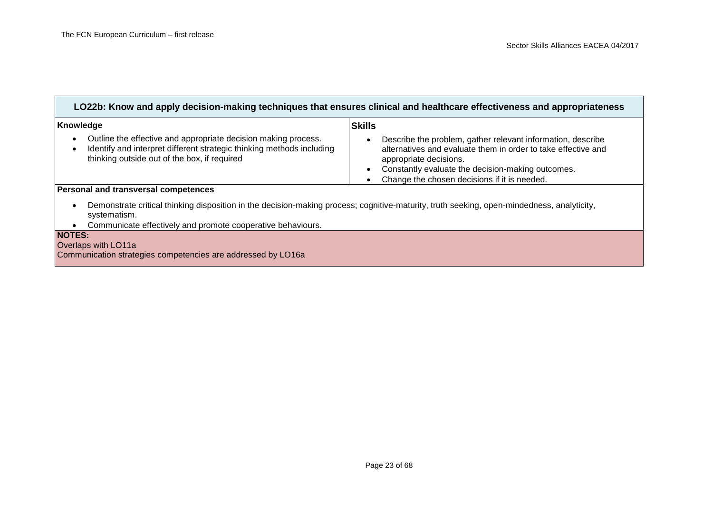| LO22b: Know and apply decision-making techniques that ensures clinical and healthcare effectiveness and appropriateness                                                                                           |                                                                                                                                                                                                                                                             |  |
|-------------------------------------------------------------------------------------------------------------------------------------------------------------------------------------------------------------------|-------------------------------------------------------------------------------------------------------------------------------------------------------------------------------------------------------------------------------------------------------------|--|
| Knowledge                                                                                                                                                                                                         | <b>Skills</b>                                                                                                                                                                                                                                               |  |
| Outline the effective and appropriate decision making process.<br>$\bullet$<br>Identify and interpret different strategic thinking methods including<br>$\bullet$<br>thinking outside out of the box, if required | Describe the problem, gather relevant information, describe<br>alternatives and evaluate them in order to take effective and<br>appropriate decisions.<br>Constantly evaluate the decision-making outcomes.<br>Change the chosen decisions if it is needed. |  |
| Personal and transversal competences                                                                                                                                                                              |                                                                                                                                                                                                                                                             |  |
| Demonstrate critical thinking disposition in the decision-making process; cognitive-maturity, truth seeking, open-mindedness, analyticity,<br>$\bullet$<br>systematism.                                           |                                                                                                                                                                                                                                                             |  |
| Communicate effectively and promote cooperative behaviours.                                                                                                                                                       |                                                                                                                                                                                                                                                             |  |
| <b>NOTES:</b>                                                                                                                                                                                                     |                                                                                                                                                                                                                                                             |  |
| Overlaps with LO11a                                                                                                                                                                                               |                                                                                                                                                                                                                                                             |  |
| Communication strategies competencies are addressed by LO16a                                                                                                                                                      |                                                                                                                                                                                                                                                             |  |
|                                                                                                                                                                                                                   |                                                                                                                                                                                                                                                             |  |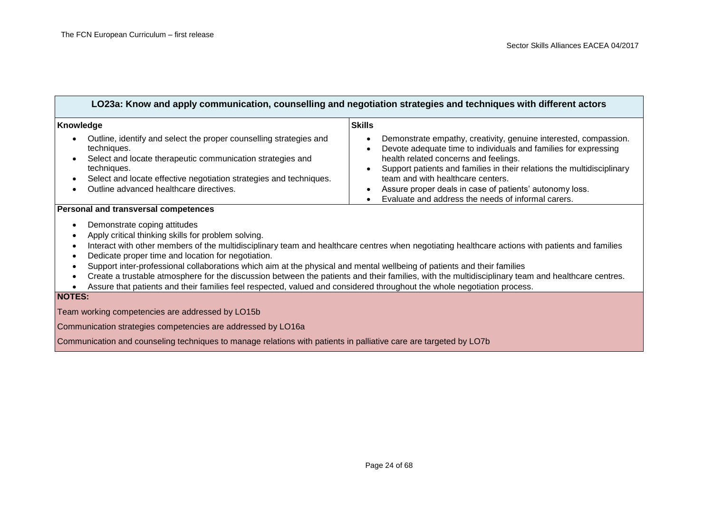| LO23a: Know and apply communication, counselling and negotiation strategies and techniques with different actors                                                                                                                                                                                                                                                                                                                                                       |                                                                                                                                                                                                                                                                                                                                                                                                              |
|------------------------------------------------------------------------------------------------------------------------------------------------------------------------------------------------------------------------------------------------------------------------------------------------------------------------------------------------------------------------------------------------------------------------------------------------------------------------|--------------------------------------------------------------------------------------------------------------------------------------------------------------------------------------------------------------------------------------------------------------------------------------------------------------------------------------------------------------------------------------------------------------|
| Knowledge                                                                                                                                                                                                                                                                                                                                                                                                                                                              | <b>Skills</b>                                                                                                                                                                                                                                                                                                                                                                                                |
| Outline, identify and select the proper counselling strategies and<br>techniques.<br>Select and locate therapeutic communication strategies and<br>$\bullet$<br>techniques.<br>Select and locate effective negotiation strategies and techniques.<br>٠<br>Outline advanced healthcare directives.                                                                                                                                                                      | Demonstrate empathy, creativity, genuine interested, compassion.<br>Devote adequate time to individuals and families for expressing<br>health related concerns and feelings.<br>Support patients and families in their relations the multidisciplinary<br>team and with healthcare centers.<br>Assure proper deals in case of patients' autonomy loss.<br>Evaluate and address the needs of informal carers. |
| Personal and transversal competences<br>Demonstrate coping attitudes<br>Apply critical thinking skills for problem solving.<br>$\bullet$<br>Dedicate proper time and location for negotiation.<br>$\bullet$<br>Support inter-professional collaborations which aim at the physical and mental wellbeing of patients and their families<br>٠<br>Assure that patients and their families feel respected, valued and considered throughout the whole negotiation process. | Interact with other members of the multidisciplinary team and healthcare centres when negotiating healthcare actions with patients and families<br>Create a trustable atmosphere for the discussion between the patients and their families, with the multidisciplinary team and healthcare centres.                                                                                                         |
| <b>NOTES:</b>                                                                                                                                                                                                                                                                                                                                                                                                                                                          |                                                                                                                                                                                                                                                                                                                                                                                                              |
| Team working competencies are addressed by LO15b                                                                                                                                                                                                                                                                                                                                                                                                                       |                                                                                                                                                                                                                                                                                                                                                                                                              |
| Communication strategies competencies are addressed by LO16a                                                                                                                                                                                                                                                                                                                                                                                                           |                                                                                                                                                                                                                                                                                                                                                                                                              |
| Communication and counseling techniques to manage relations with patients in palliative care are targeted by LO7b                                                                                                                                                                                                                                                                                                                                                      |                                                                                                                                                                                                                                                                                                                                                                                                              |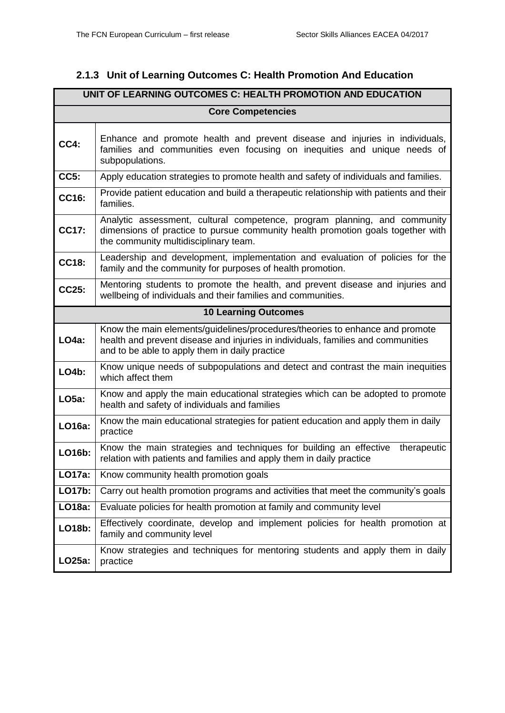### <span id="page-24-0"></span>**2.1.3 Unit of Learning Outcomes C: Health Promotion And Education**

| UNIT OF LEARNING OUTCOMES C: HEALTH PROMOTION AND EDUCATION |                                                                                                                                                                                                                    |  |  |
|-------------------------------------------------------------|--------------------------------------------------------------------------------------------------------------------------------------------------------------------------------------------------------------------|--|--|
|                                                             | <b>Core Competencies</b>                                                                                                                                                                                           |  |  |
| CC4:                                                        | Enhance and promote health and prevent disease and injuries in individuals,<br>families and communities even focusing on inequities and unique needs of<br>subpopulations.                                         |  |  |
| CC5:                                                        | Apply education strategies to promote health and safety of individuals and families.                                                                                                                               |  |  |
| CC16:                                                       | Provide patient education and build a therapeutic relationship with patients and their<br>families.                                                                                                                |  |  |
| CC17:                                                       | Analytic assessment, cultural competence, program planning, and community<br>dimensions of practice to pursue community health promotion goals together with<br>the community multidisciplinary team.              |  |  |
| CC18:                                                       | Leadership and development, implementation and evaluation of policies for the<br>family and the community for purposes of health promotion.                                                                        |  |  |
| CC25:                                                       | Mentoring students to promote the health, and prevent disease and injuries and<br>wellbeing of individuals and their families and communities.                                                                     |  |  |
|                                                             | <b>10 Learning Outcomes</b>                                                                                                                                                                                        |  |  |
| LO4a:                                                       | Know the main elements/quidelines/procedures/theories to enhance and promote<br>health and prevent disease and injuries in individuals, families and communities<br>and to be able to apply them in daily practice |  |  |
| <b>LO4b:</b>                                                | Know unique needs of subpopulations and detect and contrast the main inequities<br>which affect them                                                                                                               |  |  |
| LO5a:                                                       | Know and apply the main educational strategies which can be adopted to promote<br>health and safety of individuals and families                                                                                    |  |  |
| LO16a:                                                      | Know the main educational strategies for patient education and apply them in daily<br>practice                                                                                                                     |  |  |
| LO16b:                                                      | Know the main strategies and techniques for building an effective<br>therapeutic<br>relation with patients and families and apply them in daily practice                                                           |  |  |
| LO17a:                                                      | Know community health promotion goals                                                                                                                                                                              |  |  |
| LO17b:                                                      | Carry out health promotion programs and activities that meet the community's goals                                                                                                                                 |  |  |
| LO18a:                                                      | Evaluate policies for health promotion at family and community level                                                                                                                                               |  |  |
| LO18b:                                                      | Effectively coordinate, develop and implement policies for health promotion at<br>family and community level                                                                                                       |  |  |
| LO25a:                                                      | Know strategies and techniques for mentoring students and apply them in daily<br>practice                                                                                                                          |  |  |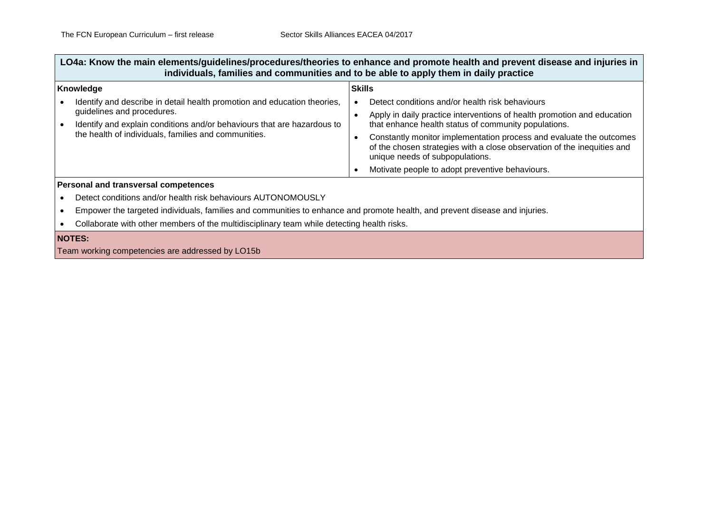**LO4a: Know the main elements/guidelines/procedures/theories to enhance and promote health and prevent disease and injuries in individuals, families and communities and to be able to apply them in daily practice**

| Knowledge                                                                                                                       | <b>Skills</b> |                                                                                                                                                                                                                                           |
|---------------------------------------------------------------------------------------------------------------------------------|---------------|-------------------------------------------------------------------------------------------------------------------------------------------------------------------------------------------------------------------------------------------|
| Identify and describe in detail health promotion and education theories,<br>guidelines and procedures.                          |               | Detect conditions and/or health risk behaviours<br>Apply in daily practice interventions of health promotion and education                                                                                                                |
| Identify and explain conditions and/or behaviours that are hazardous to<br>the health of individuals, families and communities. |               | that enhance health status of community populations.<br>Constantly monitor implementation process and evaluate the outcomes<br>of the chosen strategies with a close observation of the inequities and<br>unique needs of subpopulations. |
|                                                                                                                                 |               | Motivate people to adopt preventive behaviours.                                                                                                                                                                                           |
| <b>Personal and transversal competences</b>                                                                                     |               |                                                                                                                                                                                                                                           |
| Detect conditions and/or health risk behaviours AUTONOMOUSLY                                                                    |               |                                                                                                                                                                                                                                           |

Empower the targeted individuals, families and communities to enhance and promote health, and prevent disease and injuries.

Collaborate with other members of the multidisciplinary team while detecting health risks.

#### **NOTES:**

Team working competencies are addressed by LO15b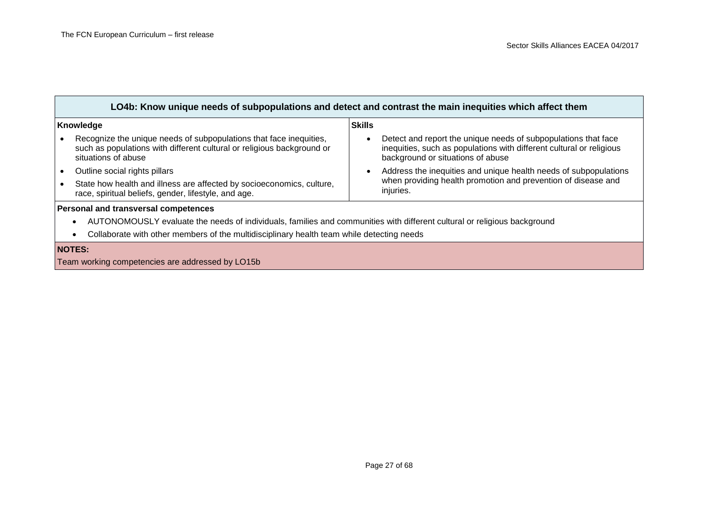| LO4b: Know unique needs of subpopulations and detect and contrast the main inequities which affect them                                                             |                                                                                                                                                                             |  |
|---------------------------------------------------------------------------------------------------------------------------------------------------------------------|-----------------------------------------------------------------------------------------------------------------------------------------------------------------------------|--|
| Knowledge                                                                                                                                                           | <b>Skills</b>                                                                                                                                                               |  |
| Recognize the unique needs of subpopulations that face inequities,<br>such as populations with different cultural or religious background or<br>situations of abuse | Detect and report the unique needs of subpopulations that face<br>inequities, such as populations with different cultural or religious<br>background or situations of abuse |  |
| Outline social rights pillars                                                                                                                                       | Address the inequities and unique health needs of subpopulations                                                                                                            |  |
| State how health and illness are affected by socioeconomics, culture,<br>race, spiritual beliefs, gender, lifestyle, and age.                                       | when providing health promotion and prevention of disease and<br>injuries.                                                                                                  |  |
| Personal and transversal competences                                                                                                                                |                                                                                                                                                                             |  |
| AUTONOMOUSLY evaluate the needs of individuals, families and communities with different cultural or religious background<br>$\bullet$                               |                                                                                                                                                                             |  |
| Collaborate with other members of the multidisciplinary health team while detecting needs<br>$\bullet$                                                              |                                                                                                                                                                             |  |
| <b>NOTES:</b>                                                                                                                                                       |                                                                                                                                                                             |  |
| Team working competencies are addressed by LO15b                                                                                                                    |                                                                                                                                                                             |  |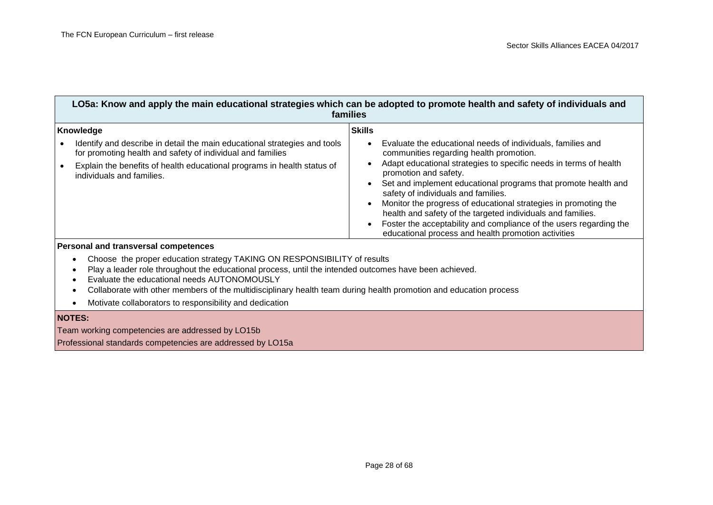| LO5a: Know and apply the main educational strategies which can be adopted to promote health and safety of individuals and<br>families                                                                                                                        |                                                                                                                                                                                                                                                                                                                                                                                                                                                                                                                                                                                               |
|--------------------------------------------------------------------------------------------------------------------------------------------------------------------------------------------------------------------------------------------------------------|-----------------------------------------------------------------------------------------------------------------------------------------------------------------------------------------------------------------------------------------------------------------------------------------------------------------------------------------------------------------------------------------------------------------------------------------------------------------------------------------------------------------------------------------------------------------------------------------------|
| Knowledge<br>Identify and describe in detail the main educational strategies and tools<br>for promoting health and safety of individual and families<br>Explain the benefits of health educational programs in health status of<br>individuals and families. | <b>Skills</b><br>Evaluate the educational needs of individuals, families and<br>communities regarding health promotion.<br>Adapt educational strategies to specific needs in terms of health<br>promotion and safety.<br>Set and implement educational programs that promote health and<br>safety of individuals and families.<br>Monitor the progress of educational strategies in promoting the<br>health and safety of the targeted individuals and families.<br>Foster the acceptability and compliance of the users regarding the<br>educational process and health promotion activities |

#### **Personal and transversal competences**

- Choose the proper education strategy TAKING ON RESPONSIBILITY of results
- Play a leader role throughout the educational process, until the intended outcomes have been achieved.
- Evaluate the educational needs AUTONOMOUSLY
- Collaborate with other members of the multidisciplinary health team during health promotion and education process
- Motivate collaborators to responsibility and dedication

#### **NOTES:**

Team working competencies are addressed by LO15b

Professional standards competencies are addressed by LO15a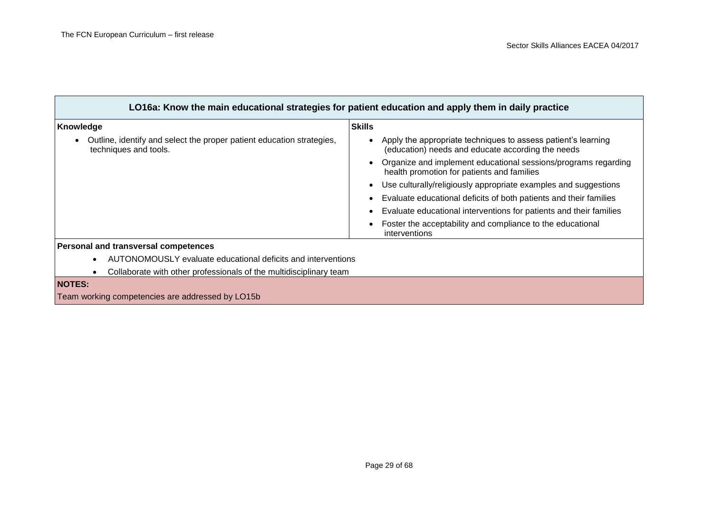| LO16a: Know the main educational strategies for patient education and apply them in daily practice |                                                                                                                    |
|----------------------------------------------------------------------------------------------------|--------------------------------------------------------------------------------------------------------------------|
| Knowledge                                                                                          | <b>Skills</b>                                                                                                      |
| Outline, identify and select the proper patient education strategies,<br>techniques and tools.     | Apply the appropriate techniques to assess patient's learning<br>(education) needs and educate according the needs |
|                                                                                                    | Organize and implement educational sessions/programs regarding<br>health promotion for patients and families       |
|                                                                                                    | Use culturally/religiously appropriate examples and suggestions                                                    |
|                                                                                                    | Evaluate educational deficits of both patients and their families                                                  |
|                                                                                                    | Evaluate educational interventions for patients and their families                                                 |
|                                                                                                    | Foster the acceptability and compliance to the educational<br>interventions                                        |
| Personal and transversal competences                                                               |                                                                                                                    |
| AUTONOMOUSLY evaluate educational deficits and interventions<br>$\bullet$                          |                                                                                                                    |
| Collaborate with other professionals of the multidisciplinary team<br>٠                            |                                                                                                                    |

#### **NOTES:**

Team working competencies are addressed by LO15b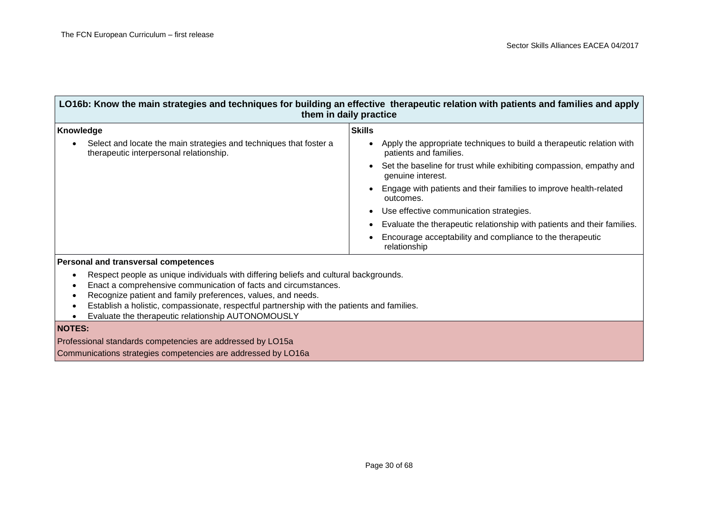| LO16b: Know the main strategies and techniques for building an effective therapeutic relation with patients and families and apply<br>them in daily practice                                                                                                                                                                                                                  |                                                                                                 |
|-------------------------------------------------------------------------------------------------------------------------------------------------------------------------------------------------------------------------------------------------------------------------------------------------------------------------------------------------------------------------------|-------------------------------------------------------------------------------------------------|
| Knowledge                                                                                                                                                                                                                                                                                                                                                                     | <b>Skills</b>                                                                                   |
| Select and locate the main strategies and techniques that foster a<br>therapeutic interpersonal relationship.                                                                                                                                                                                                                                                                 | Apply the appropriate techniques to build a therapeutic relation with<br>patients and families. |
|                                                                                                                                                                                                                                                                                                                                                                               | Set the baseline for trust while exhibiting compassion, empathy and<br>genuine interest.        |
|                                                                                                                                                                                                                                                                                                                                                                               | Engage with patients and their families to improve health-related<br>outcomes.                  |
|                                                                                                                                                                                                                                                                                                                                                                               | Use effective communication strategies.                                                         |
|                                                                                                                                                                                                                                                                                                                                                                               | Evaluate the therapeutic relationship with patients and their families.                         |
|                                                                                                                                                                                                                                                                                                                                                                               | Encourage acceptability and compliance to the therapeutic<br>relationship                       |
| Personal and transversal competences                                                                                                                                                                                                                                                                                                                                          |                                                                                                 |
| Respect people as unique individuals with differing beliefs and cultural backgrounds.<br>Enact a comprehensive communication of facts and circumstances.<br>Recognize patient and family preferences, values, and needs.<br>Establish a holistic, compassionate, respectful partnership with the patients and families.<br>Evaluate the therapeutic relationship AUTONOMOUSLY |                                                                                                 |
| <b>NOTES:</b>                                                                                                                                                                                                                                                                                                                                                                 |                                                                                                 |
| Professional standards competencies are addressed by LO15a                                                                                                                                                                                                                                                                                                                    |                                                                                                 |
| Communications strategies competencies are addressed by LO16a                                                                                                                                                                                                                                                                                                                 |                                                                                                 |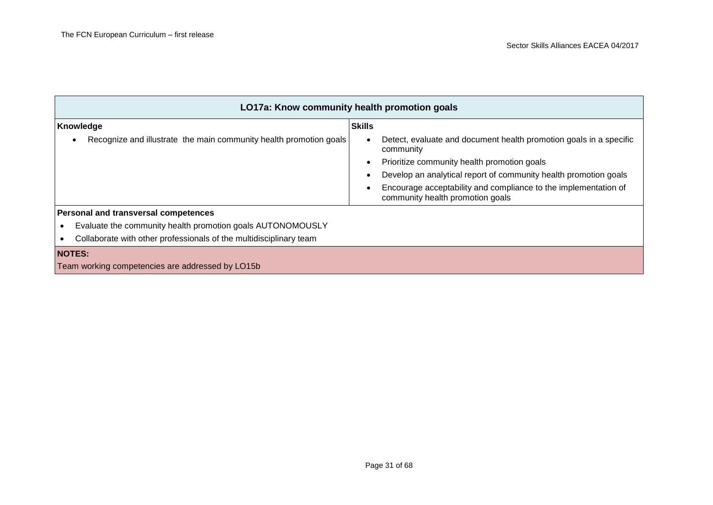| LO17a: Know community health promotion goals                            |                                                                                                     |
|-------------------------------------------------------------------------|-----------------------------------------------------------------------------------------------------|
| Knowledge                                                               | <b>Skills</b>                                                                                       |
| Recognize and illustrate the main community health promotion goals<br>٠ | Detect, evaluate and document health promotion goals in a specific<br>community                     |
|                                                                         | Prioritize community health promotion goals                                                         |
|                                                                         | Develop an analytical report of community health promotion goals                                    |
|                                                                         | Encourage acceptability and compliance to the implementation of<br>community health promotion goals |
| Personal and transversal competences                                    |                                                                                                     |
| Evaluate the community health promotion goals AUTONOMOUSLY              |                                                                                                     |
| Collaborate with other professionals of the multidisciplinary team      |                                                                                                     |
| <b>NOTES:</b>                                                           |                                                                                                     |
| Team working competencies are addressed by LO15b                        |                                                                                                     |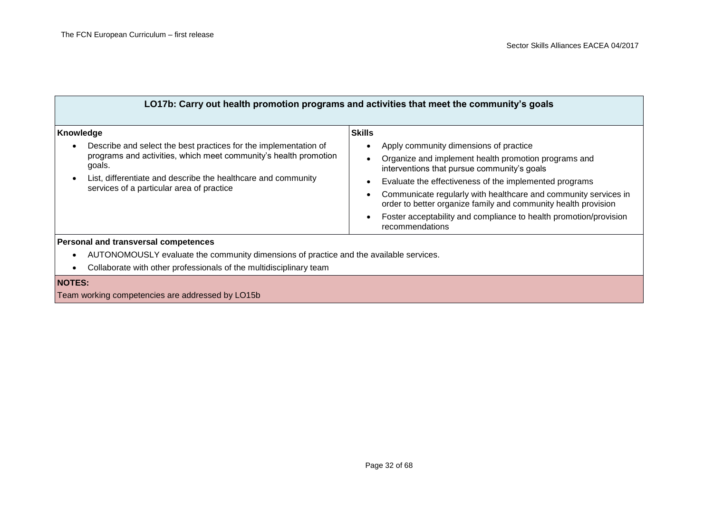| LO17b: Carry out health promotion programs and activities that meet the community's goals                                                                                                                                                                                              |                                                                                                                                                                                                                                                                                                                                                                                                                                                       |
|----------------------------------------------------------------------------------------------------------------------------------------------------------------------------------------------------------------------------------------------------------------------------------------|-------------------------------------------------------------------------------------------------------------------------------------------------------------------------------------------------------------------------------------------------------------------------------------------------------------------------------------------------------------------------------------------------------------------------------------------------------|
| Knowledge<br>Describe and select the best practices for the implementation of<br>$\bullet$<br>programs and activities, which meet community's health promotion<br>goals.<br>List, differentiate and describe the healthcare and community<br>services of a particular area of practice | <b>Skills</b><br>Apply community dimensions of practice<br>Organize and implement health promotion programs and<br>interventions that pursue community's goals<br>Evaluate the effectiveness of the implemented programs<br>Communicate regularly with healthcare and community services in<br>order to better organize family and community health provision<br>Foster acceptability and compliance to health promotion/provision<br>recommendations |
| Personal and transversal competences<br>AUTONOMOUSLY evaluate the community dimensions of practice and the available services.                                                                                                                                                         |                                                                                                                                                                                                                                                                                                                                                                                                                                                       |

Collaborate with other professionals of the multidisciplinary team

#### **NOTES:**

Team working competencies are addressed by LO15b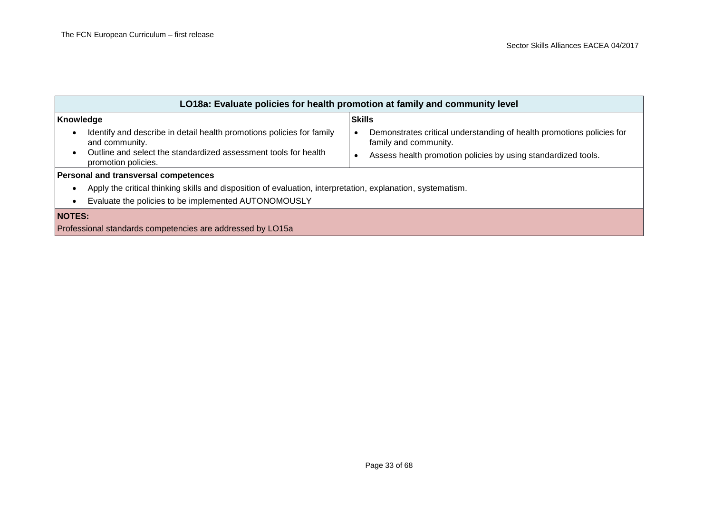| LO18a: Evaluate policies for health promotion at family and community level                                              |                                                                                                |  |
|--------------------------------------------------------------------------------------------------------------------------|------------------------------------------------------------------------------------------------|--|
| Knowledge                                                                                                                | <b>Skills</b>                                                                                  |  |
| Identify and describe in detail health promotions policies for family<br>$\bullet$<br>and community.                     | Demonstrates critical understanding of health promotions policies for<br>family and community. |  |
| Outline and select the standardized assessment tools for health<br>$\bullet$<br>promotion policies.                      | Assess health promotion policies by using standardized tools.                                  |  |
| <b>Personal and transversal competences</b>                                                                              |                                                                                                |  |
| Apply the critical thinking skills and disposition of evaluation, interpretation, explanation, systematism.<br>$\bullet$ |                                                                                                |  |
| Evaluate the policies to be implemented AUTONOMOUSLY<br>$\bullet$                                                        |                                                                                                |  |
| <b>NOTES:</b>                                                                                                            |                                                                                                |  |
| Professional standards competencies are addressed by LO15a                                                               |                                                                                                |  |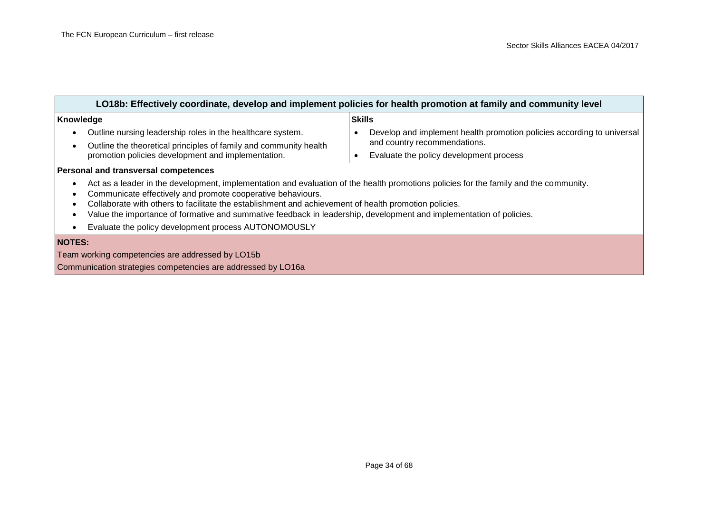| LO18b: Effectively coordinate, develop and implement policies for health promotion at family and community level                                                                                                                                                                                                                                                                                                                                                                                                            |                                                                                                                                                   |  |
|-----------------------------------------------------------------------------------------------------------------------------------------------------------------------------------------------------------------------------------------------------------------------------------------------------------------------------------------------------------------------------------------------------------------------------------------------------------------------------------------------------------------------------|---------------------------------------------------------------------------------------------------------------------------------------------------|--|
| Knowledge                                                                                                                                                                                                                                                                                                                                                                                                                                                                                                                   | <b>Skills</b>                                                                                                                                     |  |
| Outline nursing leadership roles in the healthcare system.<br>Outline the theoretical principles of family and community health<br>$\bullet$<br>promotion policies development and implementation.                                                                                                                                                                                                                                                                                                                          | Develop and implement health promotion policies according to universal<br>and country recommendations.<br>Evaluate the policy development process |  |
| <b>Personal and transversal competences</b>                                                                                                                                                                                                                                                                                                                                                                                                                                                                                 |                                                                                                                                                   |  |
| Act as a leader in the development, implementation and evaluation of the health promotions policies for the family and the community.<br>$\bullet$<br>Communicate effectively and promote cooperative behaviours.<br>Collaborate with others to facilitate the establishment and achievement of health promotion policies.<br>٠<br>Value the importance of formative and summative feedback in leadership, development and implementation of policies.<br>Evaluate the policy development process AUTONOMOUSLY<br>$\bullet$ |                                                                                                                                                   |  |
| <b>NOTES:</b>                                                                                                                                                                                                                                                                                                                                                                                                                                                                                                               |                                                                                                                                                   |  |
| Team working competencies are addressed by LO15b                                                                                                                                                                                                                                                                                                                                                                                                                                                                            |                                                                                                                                                   |  |
| Communication strategies competencies are addressed by LO16a                                                                                                                                                                                                                                                                                                                                                                                                                                                                |                                                                                                                                                   |  |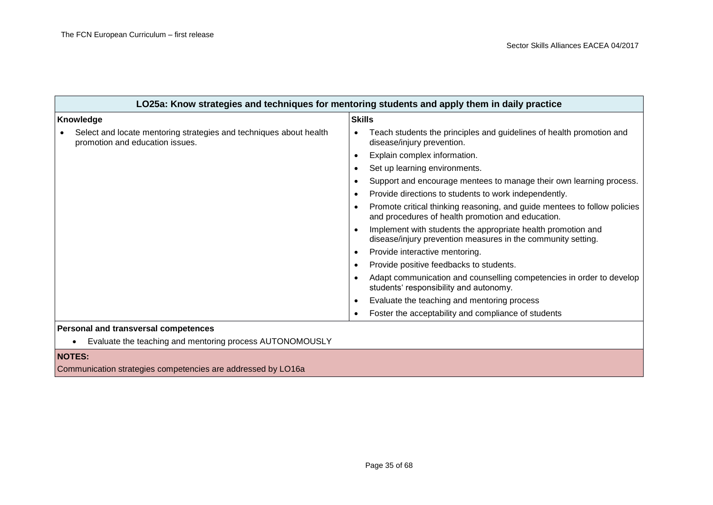| LO25a: Know strategies and techniques for mentoring students and apply them in daily practice         |                                                                                                                                |
|-------------------------------------------------------------------------------------------------------|--------------------------------------------------------------------------------------------------------------------------------|
| Knowledge                                                                                             | <b>Skills</b>                                                                                                                  |
| Select and locate mentoring strategies and techniques about health<br>promotion and education issues. | Teach students the principles and guidelines of health promotion and<br>disease/injury prevention.                             |
|                                                                                                       | Explain complex information.                                                                                                   |
|                                                                                                       | Set up learning environments.                                                                                                  |
|                                                                                                       | Support and encourage mentees to manage their own learning process.                                                            |
|                                                                                                       | Provide directions to students to work independently.                                                                          |
|                                                                                                       | Promote critical thinking reasoning, and guide mentees to follow policies<br>and procedures of health promotion and education. |
|                                                                                                       | Implement with students the appropriate health promotion and<br>disease/injury prevention measures in the community setting.   |
|                                                                                                       | Provide interactive mentoring.                                                                                                 |
|                                                                                                       | Provide positive feedbacks to students.                                                                                        |
|                                                                                                       | Adapt communication and counselling competencies in order to develop<br>students' responsibility and autonomy.                 |
|                                                                                                       | Evaluate the teaching and mentoring process                                                                                    |
|                                                                                                       | Foster the acceptability and compliance of students                                                                            |
| <b>Personal and transversal competences</b>                                                           |                                                                                                                                |
| Evaluate the teaching and mentoring process AUTONOMOUSLY                                              |                                                                                                                                |

### **NOTES:**

Communication strategies competencies are addressed by LO16a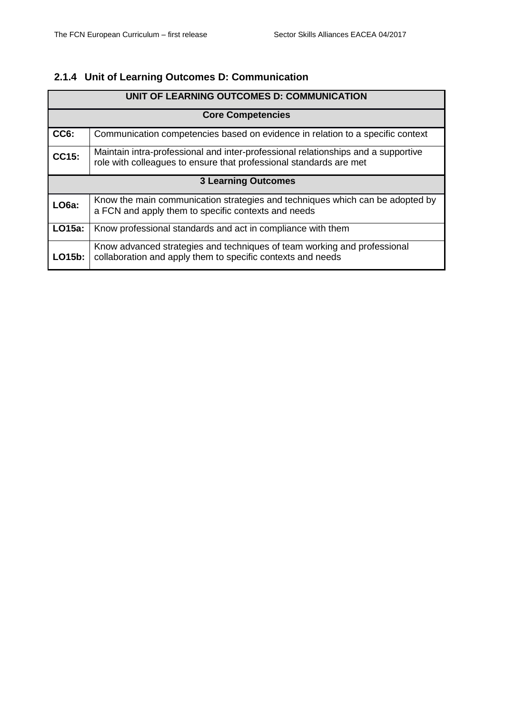### <span id="page-35-0"></span>**2.1.4 Unit of Learning Outcomes D: Communication**

| UNIT OF LEARNING OUTCOMES D: COMMUNICATION |                                                                                                                                                         |  |
|--------------------------------------------|---------------------------------------------------------------------------------------------------------------------------------------------------------|--|
|                                            | <b>Core Competencies</b>                                                                                                                                |  |
| CC6:                                       | Communication competencies based on evidence in relation to a specific context                                                                          |  |
| CC15:                                      | Maintain intra-professional and inter-professional relationships and a supportive<br>role with colleagues to ensure that professional standards are met |  |
| <b>3 Learning Outcomes</b>                 |                                                                                                                                                         |  |
| <b>LO6a:</b>                               | Know the main communication strategies and techniques which can be adopted by<br>a FCN and apply them to specific contexts and needs                    |  |
| <b>LO15a:</b>                              | Know professional standards and act in compliance with them                                                                                             |  |
| LO15b:                                     | Know advanced strategies and techniques of team working and professional<br>collaboration and apply them to specific contexts and needs                 |  |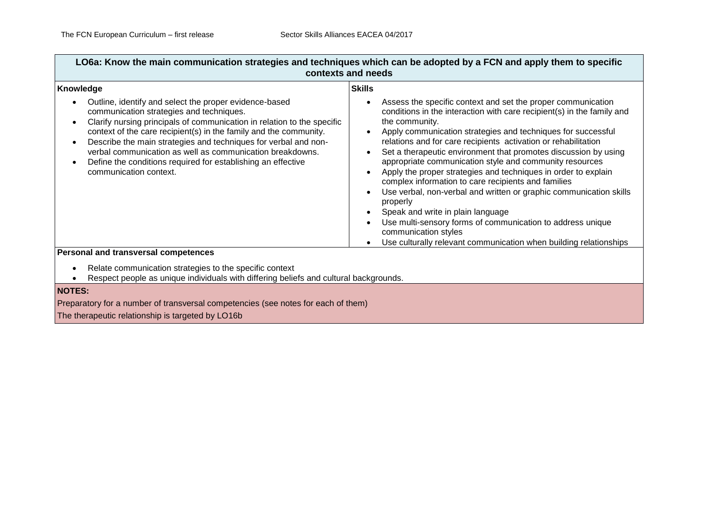$\overline{\phantom{a}}$ 

| Knowledge                                                                                                                                                                                                                                                                                                                                                                                                                                                                    | <b>Skills</b>                                                                                                                                                                                                                                                                                                                                                                                                                                                                                                                                                                                                                                                                                                                                                                                                                       |
|------------------------------------------------------------------------------------------------------------------------------------------------------------------------------------------------------------------------------------------------------------------------------------------------------------------------------------------------------------------------------------------------------------------------------------------------------------------------------|-------------------------------------------------------------------------------------------------------------------------------------------------------------------------------------------------------------------------------------------------------------------------------------------------------------------------------------------------------------------------------------------------------------------------------------------------------------------------------------------------------------------------------------------------------------------------------------------------------------------------------------------------------------------------------------------------------------------------------------------------------------------------------------------------------------------------------------|
| Outline, identify and select the proper evidence-based<br>communication strategies and techniques.<br>Clarify nursing principals of communication in relation to the specific<br>context of the care recipient(s) in the family and the community.<br>Describe the main strategies and techniques for verbal and non-<br>verbal communication as well as communication breakdowns.<br>Define the conditions required for establishing an effective<br>communication context. | Assess the specific context and set the proper communication<br>conditions in the interaction with care recipient(s) in the family and<br>the community.<br>Apply communication strategies and techniques for successful<br>relations and for care recipients activation or rehabilitation<br>Set a therapeutic environment that promotes discussion by using<br>appropriate communication style and community resources<br>Apply the proper strategies and techniques in order to explain<br>complex information to care recipients and families<br>Use verbal, non-verbal and written or graphic communication skills<br>properly<br>Speak and write in plain language<br>Use multi-sensory forms of communication to address unique<br>communication styles<br>Use culturally relevant communication when building relationships |

Relate communication strategies to the specific context

Respect people as unique individuals with differing beliefs and cultural backgrounds.

### **NOTES:**

Preparatory for a number of transversal competencies (see notes for each of them) The therapeutic relationship is targeted by LO16b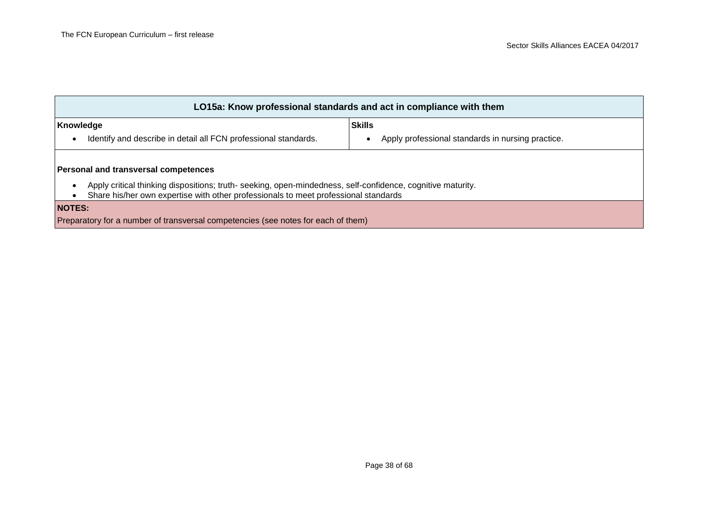| LO15a: Know professional standards and act in compliance with them                                                                                                                                              |                                                                    |  |
|-----------------------------------------------------------------------------------------------------------------------------------------------------------------------------------------------------------------|--------------------------------------------------------------------|--|
| Knowledge<br>Identify and describe in detail all FCN professional standards.<br>$\bullet$                                                                                                                       | <b>Skills</b><br>Apply professional standards in nursing practice. |  |
| <b>Personal and transversal competences</b>                                                                                                                                                                     |                                                                    |  |
| Apply critical thinking dispositions; truth- seeking, open-mindedness, self-confidence, cognitive maturity.<br>$\bullet$<br>Share his/her own expertise with other professionals to meet professional standards |                                                                    |  |
| <b>NOTES:</b><br>Preparatory for a number of transversal competencies (see notes for each of them)                                                                                                              |                                                                    |  |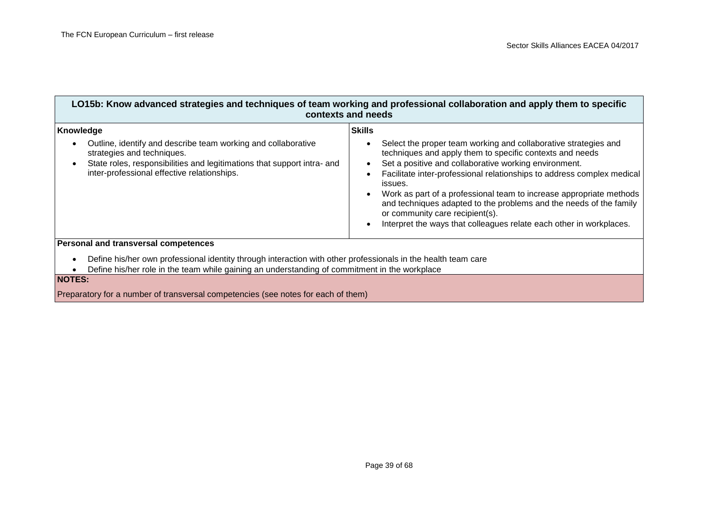| LO15b: Know advanced strategies and techniques of team working and professional collaboration and apply them to specific<br>contexts and needs                                                                                                               |                                                                                                                                                                                                                                                                                                                                                                                                                                                                                                                                                   |
|--------------------------------------------------------------------------------------------------------------------------------------------------------------------------------------------------------------------------------------------------------------|---------------------------------------------------------------------------------------------------------------------------------------------------------------------------------------------------------------------------------------------------------------------------------------------------------------------------------------------------------------------------------------------------------------------------------------------------------------------------------------------------------------------------------------------------|
| Knowledge<br>Outline, identify and describe team working and collaborative<br>$\bullet$<br>strategies and techniques.<br>State roles, responsibilities and legitimations that support intra- and<br>$\bullet$<br>inter-professional effective relationships. | <b>Skills</b><br>Select the proper team working and collaborative strategies and<br>techniques and apply them to specific contexts and needs<br>Set a positive and collaborative working environment.<br>Facilitate inter-professional relationships to address complex medical<br>issues.<br>Work as part of a professional team to increase appropriate methods<br>and techniques adapted to the problems and the needs of the family<br>or community care recipient(s).<br>Interpret the ways that colleagues relate each other in workplaces. |
| Personal and transversal competences                                                                                                                                                                                                                         |                                                                                                                                                                                                                                                                                                                                                                                                                                                                                                                                                   |
| Define his/her own professional identity through interaction with other professionals in the health team care<br>$\bullet$<br>Define his/her role in the team while gaining an understanding of commitment in the workplace                                  |                                                                                                                                                                                                                                                                                                                                                                                                                                                                                                                                                   |

**NOTES:**

Preparatory for a number of transversal competencies (see notes for each of them)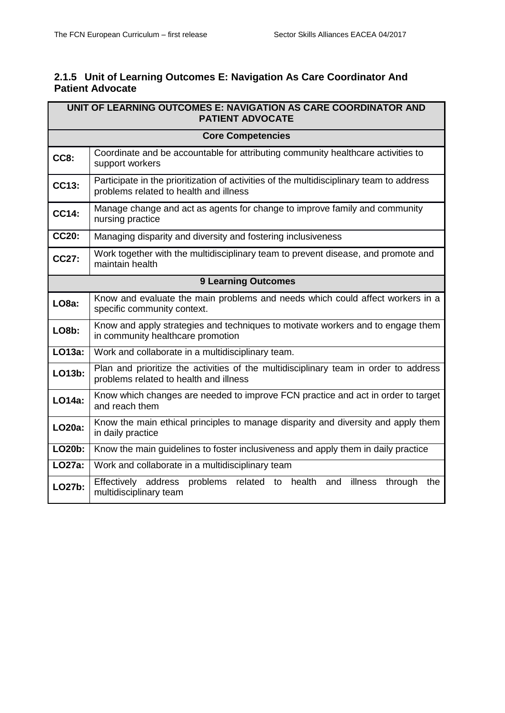### <span id="page-39-0"></span>**2.1.5 Unit of Learning Outcomes E: Navigation As Care Coordinator And Patient Advocate**

| UNIT OF LEARNING OUTCOMES E: NAVIGATION AS CARE COORDINATOR AND<br><b>PATIENT ADVOCATE</b> |                                                                                                                                    |
|--------------------------------------------------------------------------------------------|------------------------------------------------------------------------------------------------------------------------------------|
|                                                                                            | <b>Core Competencies</b>                                                                                                           |
| <b>CC8:</b>                                                                                | Coordinate and be accountable for attributing community healthcare activities to<br>support workers                                |
| <b>CC13:</b>                                                                               | Participate in the prioritization of activities of the multidisciplinary team to address<br>problems related to health and illness |
| <b>CC14:</b>                                                                               | Manage change and act as agents for change to improve family and community<br>nursing practice                                     |
| <b>CC20:</b>                                                                               | Managing disparity and diversity and fostering inclusiveness                                                                       |
| CC27:                                                                                      | Work together with the multidisciplinary team to prevent disease, and promote and<br>maintain health                               |
| <b>9 Learning Outcomes</b>                                                                 |                                                                                                                                    |
| LO <sub>8a</sub> :                                                                         | Know and evaluate the main problems and needs which could affect workers in a<br>specific community context.                       |
| LO <sub>8</sub> b:                                                                         | Know and apply strategies and techniques to motivate workers and to engage them<br>in community healthcare promotion               |
| LO13a:                                                                                     | Work and collaborate in a multidisciplinary team.                                                                                  |
| LO13b:                                                                                     | Plan and prioritize the activities of the multidisciplinary team in order to address<br>problems related to health and illness     |
| LO14a:                                                                                     | Know which changes are needed to improve FCN practice and act in order to target<br>and reach them                                 |
| LO20a:                                                                                     | Know the main ethical principles to manage disparity and diversity and apply them<br>in daily practice                             |
| LO20b:                                                                                     | Know the main guidelines to foster inclusiveness and apply them in daily practice                                                  |
| LO27a:                                                                                     | Work and collaborate in a multidisciplinary team                                                                                   |
| LO27b:                                                                                     | Effectively address<br>problems related to<br>health<br>illness<br>through<br>and<br>the<br>multidisciplinary team                 |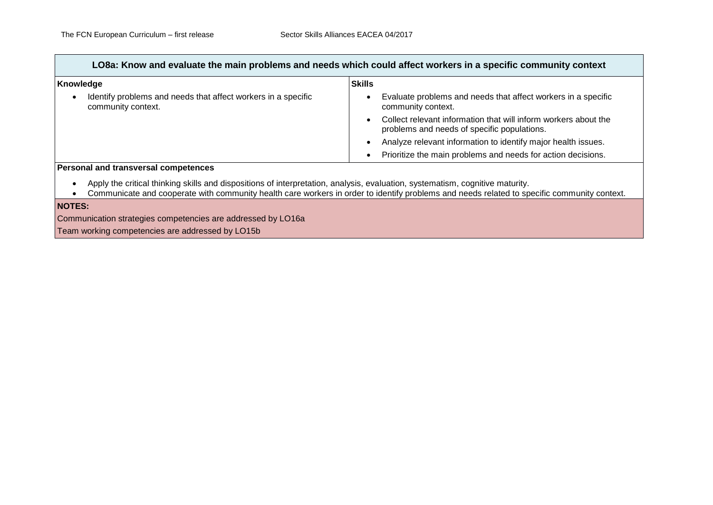| LO8a: Know and evaluate the main problems and needs which could affect workers in a specific community context                                                                                                                                                               |                                                                                                                |  |
|------------------------------------------------------------------------------------------------------------------------------------------------------------------------------------------------------------------------------------------------------------------------------|----------------------------------------------------------------------------------------------------------------|--|
| Knowledge                                                                                                                                                                                                                                                                    | <b>Skills</b>                                                                                                  |  |
| Identify problems and needs that affect workers in a specific<br>community context.                                                                                                                                                                                          | Evaluate problems and needs that affect workers in a specific<br>community context.                            |  |
|                                                                                                                                                                                                                                                                              | Collect relevant information that will inform workers about the<br>problems and needs of specific populations. |  |
|                                                                                                                                                                                                                                                                              | Analyze relevant information to identify major health issues.                                                  |  |
|                                                                                                                                                                                                                                                                              | Prioritize the main problems and needs for action decisions.                                                   |  |
| <b>Personal and transversal competences</b>                                                                                                                                                                                                                                  |                                                                                                                |  |
| Apply the critical thinking skills and dispositions of interpretation, analysis, evaluation, systematism, cognitive maturity.<br>Communicate and cooperate with community health care workers in order to identify problems and needs related to specific community context. |                                                                                                                |  |
| <b>NOTES:</b>                                                                                                                                                                                                                                                                |                                                                                                                |  |
| Communication strategies competencies are addressed by LO16a                                                                                                                                                                                                                 |                                                                                                                |  |

Team working competencies are addressed by LO15b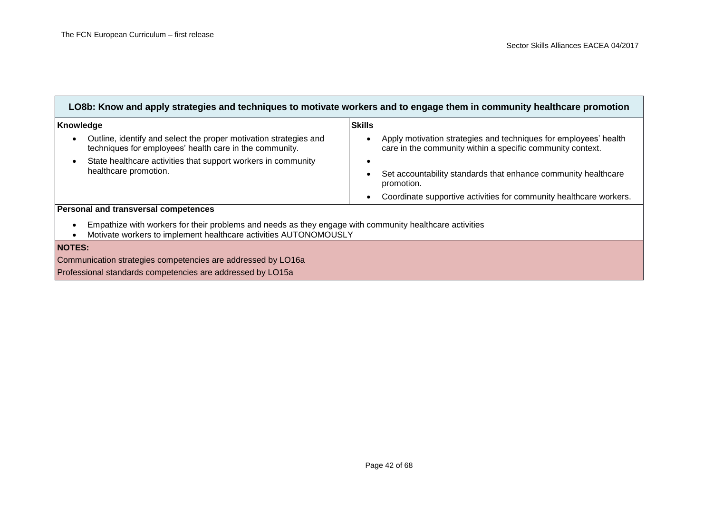| LO8b: Know and apply strategies and techniques to motivate workers and to engage them in community healthcare promotion                                                                  |                                                                                                                                |  |
|------------------------------------------------------------------------------------------------------------------------------------------------------------------------------------------|--------------------------------------------------------------------------------------------------------------------------------|--|
| Knowledge                                                                                                                                                                                | <b>Skills</b>                                                                                                                  |  |
| Outline, identify and select the proper motivation strategies and<br>$\bullet$<br>techniques for employees' health care in the community.                                                | Apply motivation strategies and techniques for employees' health<br>care in the community within a specific community context. |  |
| State healthcare activities that support workers in community<br>$\bullet$                                                                                                               |                                                                                                                                |  |
| healthcare promotion.                                                                                                                                                                    | Set accountability standards that enhance community healthcare<br>promotion.                                                   |  |
|                                                                                                                                                                                          | Coordinate supportive activities for community healthcare workers.                                                             |  |
| Personal and transversal competences                                                                                                                                                     |                                                                                                                                |  |
| Empathize with workers for their problems and needs as they engage with community healthcare activities<br>$\bullet$<br>Motivate workers to implement healthcare activities AUTONOMOUSLY |                                                                                                                                |  |
| <b>NOTES:</b>                                                                                                                                                                            |                                                                                                                                |  |
| Communication strategies competencies are addressed by LO16a                                                                                                                             |                                                                                                                                |  |
| Professional standards competencies are addressed by LO15a                                                                                                                               |                                                                                                                                |  |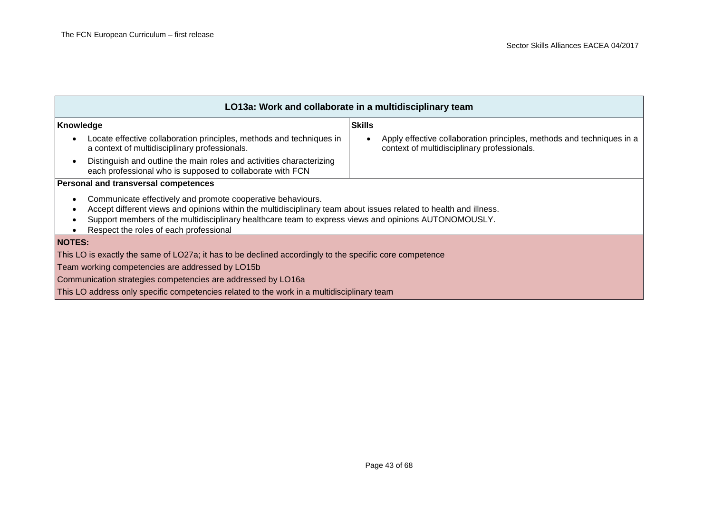| LO13a: Work and collaborate in a multidisciplinary team                                                                                                                                                                                                                                                                                 |                                                                                                                      |  |
|-----------------------------------------------------------------------------------------------------------------------------------------------------------------------------------------------------------------------------------------------------------------------------------------------------------------------------------------|----------------------------------------------------------------------------------------------------------------------|--|
| <b>Skills</b><br>Knowledge                                                                                                                                                                                                                                                                                                              |                                                                                                                      |  |
| Locate effective collaboration principles, methods and techniques in<br>$\bullet$<br>a context of multidisciplinary professionals.                                                                                                                                                                                                      | Apply effective collaboration principles, methods and techniques in a<br>context of multidisciplinary professionals. |  |
| Distinguish and outline the main roles and activities characterizing<br>$\bullet$<br>each professional who is supposed to collaborate with FCN                                                                                                                                                                                          |                                                                                                                      |  |
| Personal and transversal competences                                                                                                                                                                                                                                                                                                    |                                                                                                                      |  |
| Communicate effectively and promote cooperative behaviours.<br>٠<br>Accept different views and opinions within the multidisciplinary team about issues related to health and illness.<br>Support members of the multidisciplinary healthcare team to express views and opinions AUTONOMOUSLY.<br>Respect the roles of each professional |                                                                                                                      |  |
| <b>NOTES:</b>                                                                                                                                                                                                                                                                                                                           |                                                                                                                      |  |
| This LO is exactly the same of LO27a; it has to be declined accordingly to the specific core competence                                                                                                                                                                                                                                 |                                                                                                                      |  |
| Team working competencies are addressed by LO15b                                                                                                                                                                                                                                                                                        |                                                                                                                      |  |
| Communication strategies competencies are addressed by LO16a                                                                                                                                                                                                                                                                            |                                                                                                                      |  |
| This LO address only specific competencies related to the work in a multidisciplinary team                                                                                                                                                                                                                                              |                                                                                                                      |  |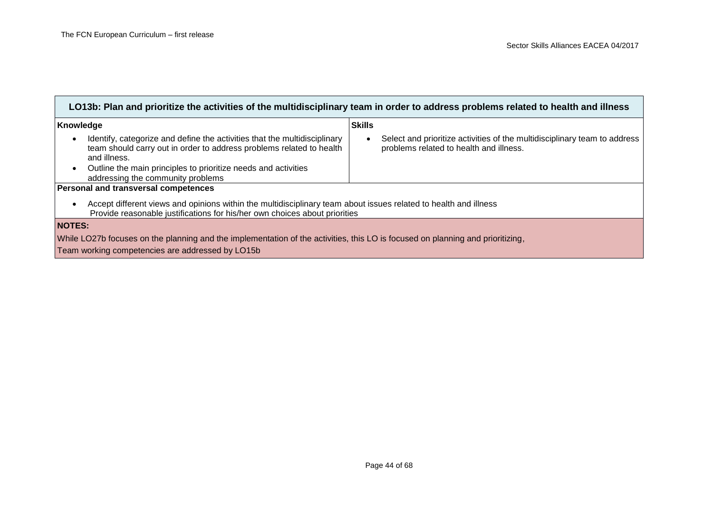| LO13b: Plan and prioritize the activities of the multidisciplinary team in order to address problems related to health and illness                                                                                                                                                                 |                                                                                                                      |  |
|----------------------------------------------------------------------------------------------------------------------------------------------------------------------------------------------------------------------------------------------------------------------------------------------------|----------------------------------------------------------------------------------------------------------------------|--|
| Knowledge                                                                                                                                                                                                                                                                                          | <b>Skills</b>                                                                                                        |  |
| Identify, categorize and define the activities that the multidisciplinary<br>$\bullet$<br>team should carry out in order to address problems related to health<br>and illness.<br>Outline the main principles to prioritize needs and activities<br>$\bullet$<br>addressing the community problems | Select and prioritize activities of the multidisciplinary team to address<br>problems related to health and illness. |  |
| Personal and transversal competences                                                                                                                                                                                                                                                               |                                                                                                                      |  |
| Accept different views and opinions within the multidisciplinary team about issues related to health and illness<br>$\bullet$<br>Provide reasonable justifications for his/her own choices about priorities                                                                                        |                                                                                                                      |  |
| <b>NOTES:</b>                                                                                                                                                                                                                                                                                      |                                                                                                                      |  |
| While LO27b focuses on the planning and the implementation of the activities, this LO is focused on planning and prioritizing,                                                                                                                                                                     |                                                                                                                      |  |
| Team working competencies are addressed by LO15b                                                                                                                                                                                                                                                   |                                                                                                                      |  |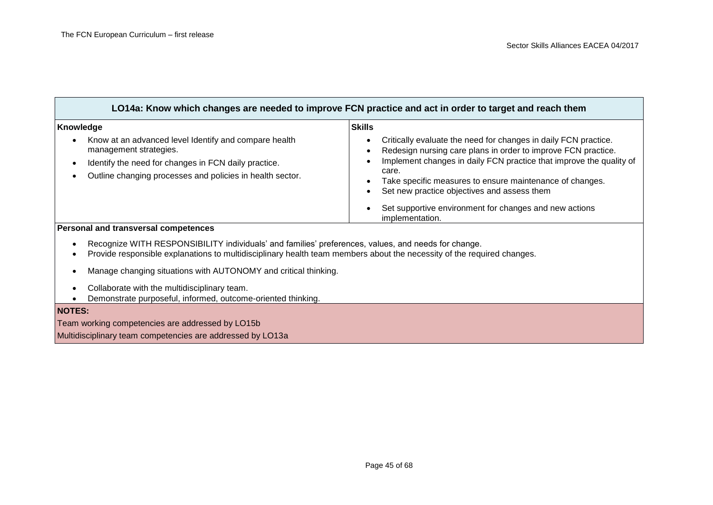| LO14a: Know which changes are needed to improve FCN practice and act in order to target and reach them                                                                                                                                                                                                                                                      |                                                                                                                                                                                                                                                                                                                                                                                                        |
|-------------------------------------------------------------------------------------------------------------------------------------------------------------------------------------------------------------------------------------------------------------------------------------------------------------------------------------------------------------|--------------------------------------------------------------------------------------------------------------------------------------------------------------------------------------------------------------------------------------------------------------------------------------------------------------------------------------------------------------------------------------------------------|
| Knowledge<br>Know at an advanced level Identify and compare health<br>management strategies.<br>Identify the need for changes in FCN daily practice.<br>Outline changing processes and policies in health sector.                                                                                                                                           | <b>Skills</b><br>Critically evaluate the need for changes in daily FCN practice.<br>Redesign nursing care plans in order to improve FCN practice.<br>Implement changes in daily FCN practice that improve the quality of<br>care.<br>Take specific measures to ensure maintenance of changes.<br>Set new practice objectives and assess them<br>Set supportive environment for changes and new actions |
| implementation.<br>Personal and transversal competences<br>Recognize WITH RESPONSIBILITY individuals' and families' preferences, values, and needs for change.<br>Provide responsible explanations to multidisciplinary health team members about the necessity of the required changes.<br>Manage changing situations with AUTONOMY and critical thinking. |                                                                                                                                                                                                                                                                                                                                                                                                        |

- Collaborate with the multidisciplinary team.
- Demonstrate purposeful, informed, outcome-oriented thinking.

### **NOTES:**

Team working competencies are addressed by LO15b

Multidisciplinary team competencies are addressed by LO13a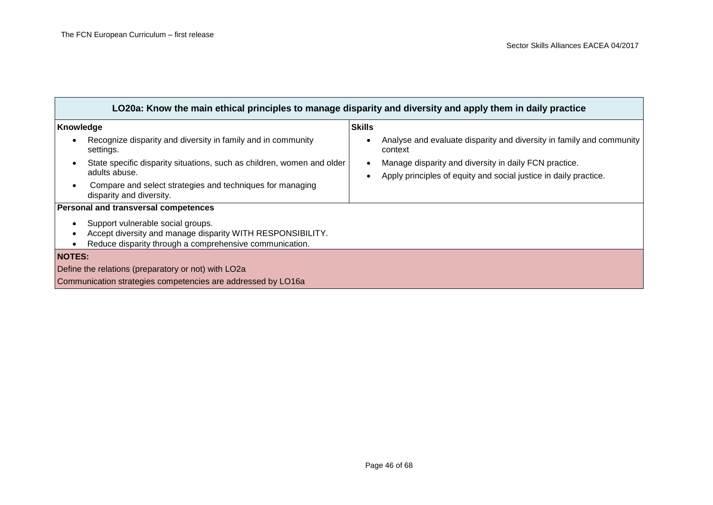the control of the control of the control of the control of the control of

| LO20a: Know the main ethical principles to manage disparity and diversity and apply them in daily practice |                                                                                 |  |
|------------------------------------------------------------------------------------------------------------|---------------------------------------------------------------------------------|--|
| Knowledge                                                                                                  | <b>Skills</b>                                                                   |  |
| Recognize disparity and diversity in family and in community<br>settings.                                  | Analyse and evaluate disparity and diversity in family and community<br>context |  |
| State specific disparity situations, such as children, women and older<br>$\bullet$                        | Manage disparity and diversity in daily FCN practice.                           |  |
| adults abuse.                                                                                              | Apply principles of equity and social justice in daily practice.                |  |
| Compare and select strategies and techniques for managing<br>disparity and diversity.                      |                                                                                 |  |
| Personal and transversal competences                                                                       |                                                                                 |  |
| Support vulnerable social groups.                                                                          |                                                                                 |  |
| Accept diversity and manage disparity WITH RESPONSIBILITY.                                                 |                                                                                 |  |
| Reduce disparity through a comprehensive communication.                                                    |                                                                                 |  |
| <b>NOTES:</b>                                                                                              |                                                                                 |  |
| Define the relations (preparatory or not) with LO2a                                                        |                                                                                 |  |
| Communication strategies competencies are addressed by LO16a                                               |                                                                                 |  |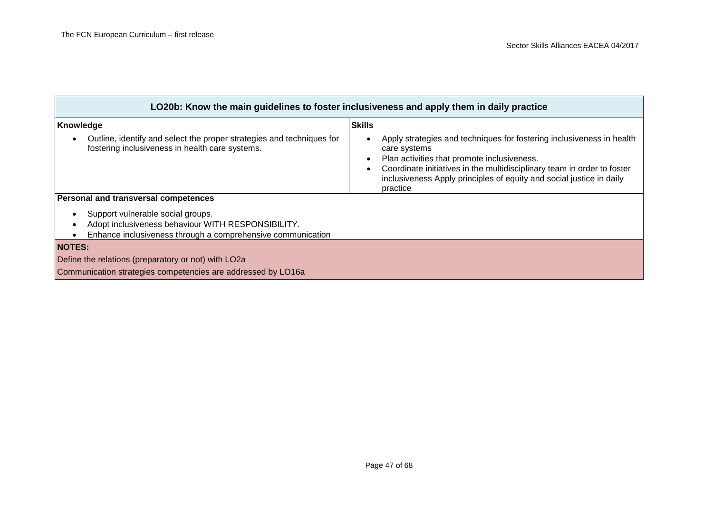| LO20b: Know the main guidelines to foster inclusiveness and apply them in daily practice                                                               |                                                                                                                                                                                                                                                                                                     |  |
|--------------------------------------------------------------------------------------------------------------------------------------------------------|-----------------------------------------------------------------------------------------------------------------------------------------------------------------------------------------------------------------------------------------------------------------------------------------------------|--|
| Knowledge                                                                                                                                              | <b>Skills</b>                                                                                                                                                                                                                                                                                       |  |
| Outline, identify and select the proper strategies and techniques for<br>fostering inclusiveness in health care systems.                               | Apply strategies and techniques for fostering inclusiveness in health<br>care systems<br>Plan activities that promote inclusiveness.<br>Coordinate initiatives in the multidisciplinary team in order to foster<br>inclusiveness Apply principles of equity and social justice in daily<br>practice |  |
| Personal and transversal competences                                                                                                                   |                                                                                                                                                                                                                                                                                                     |  |
| Support vulnerable social groups.<br>Adopt inclusiveness behaviour WITH RESPONSIBILITY.<br>Enhance inclusiveness through a comprehensive communication |                                                                                                                                                                                                                                                                                                     |  |
| <b>NOTES:</b>                                                                                                                                          |                                                                                                                                                                                                                                                                                                     |  |
| Define the relations (preparatory or not) with LO2a                                                                                                    |                                                                                                                                                                                                                                                                                                     |  |
| Communication strategies competencies are addressed by LO16a                                                                                           |                                                                                                                                                                                                                                                                                                     |  |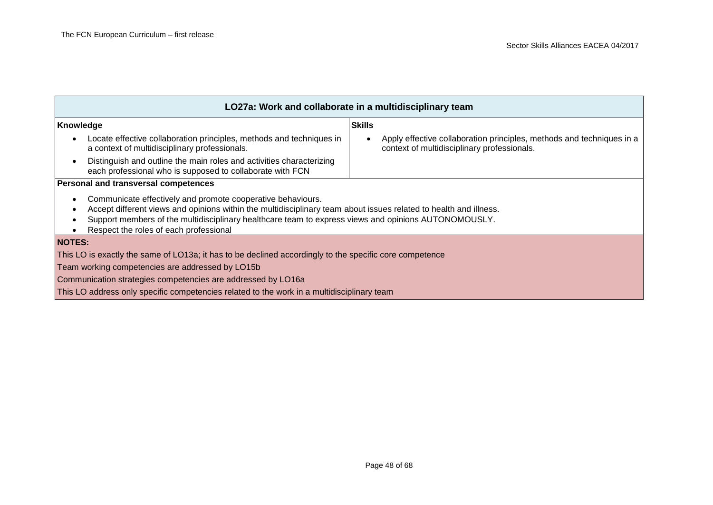| LO27a: Work and collaborate in a multidisciplinary team                                                                                                                                                                                                                                                                                 |                                                                                                                      |  |
|-----------------------------------------------------------------------------------------------------------------------------------------------------------------------------------------------------------------------------------------------------------------------------------------------------------------------------------------|----------------------------------------------------------------------------------------------------------------------|--|
| <b>Skills</b><br>Knowledge                                                                                                                                                                                                                                                                                                              |                                                                                                                      |  |
| Locate effective collaboration principles, methods and techniques in<br>$\bullet$<br>a context of multidisciplinary professionals.                                                                                                                                                                                                      | Apply effective collaboration principles, methods and techniques in a<br>context of multidisciplinary professionals. |  |
| Distinguish and outline the main roles and activities characterizing<br>$\bullet$<br>each professional who is supposed to collaborate with FCN                                                                                                                                                                                          |                                                                                                                      |  |
| Personal and transversal competences                                                                                                                                                                                                                                                                                                    |                                                                                                                      |  |
| Communicate effectively and promote cooperative behaviours.<br>٠<br>Accept different views and opinions within the multidisciplinary team about issues related to health and illness.<br>Support members of the multidisciplinary healthcare team to express views and opinions AUTONOMOUSLY.<br>Respect the roles of each professional |                                                                                                                      |  |
| <b>NOTES:</b>                                                                                                                                                                                                                                                                                                                           |                                                                                                                      |  |
| This LO is exactly the same of LO13a; it has to be declined accordingly to the specific core competence                                                                                                                                                                                                                                 |                                                                                                                      |  |
| Team working competencies are addressed by LO15b                                                                                                                                                                                                                                                                                        |                                                                                                                      |  |
| Communication strategies competencies are addressed by LO16a                                                                                                                                                                                                                                                                            |                                                                                                                      |  |
| This LO address only specific competencies related to the work in a multidisciplinary team                                                                                                                                                                                                                                              |                                                                                                                      |  |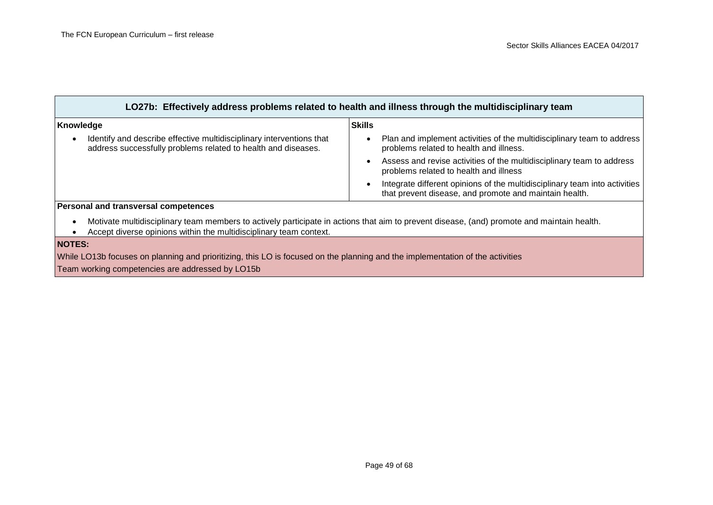| LO27b: Effectively address problems related to health and illness through the multidisciplinary team                                  |                                                                                                                                            |
|---------------------------------------------------------------------------------------------------------------------------------------|--------------------------------------------------------------------------------------------------------------------------------------------|
| Knowledge                                                                                                                             | <b>Skills</b>                                                                                                                              |
| Identify and describe effective multidisciplinary interventions that<br>address successfully problems related to health and diseases. | Plan and implement activities of the multidisciplinary team to address<br>problems related to health and illness.                          |
|                                                                                                                                       | Assess and revise activities of the multidisciplinary team to address<br>problems related to health and illness                            |
|                                                                                                                                       | Integrate different opinions of the multidisciplinary team into activities<br>that prevent disease, and promote and maintain health.       |
| Personal and transversal competences                                                                                                  |                                                                                                                                            |
| Accept diverse opinions within the multidisciplinary team context.                                                                    | Motivate multidisciplinary team members to actively participate in actions that aim to prevent disease, (and) promote and maintain health. |
| <b>NOTES:</b>                                                                                                                         |                                                                                                                                            |
| While LO13b focuses on planning and prioritizing, this LO is focused on the planning and the implementation of the activities         |                                                                                                                                            |

Team working competencies are addressed by LO15b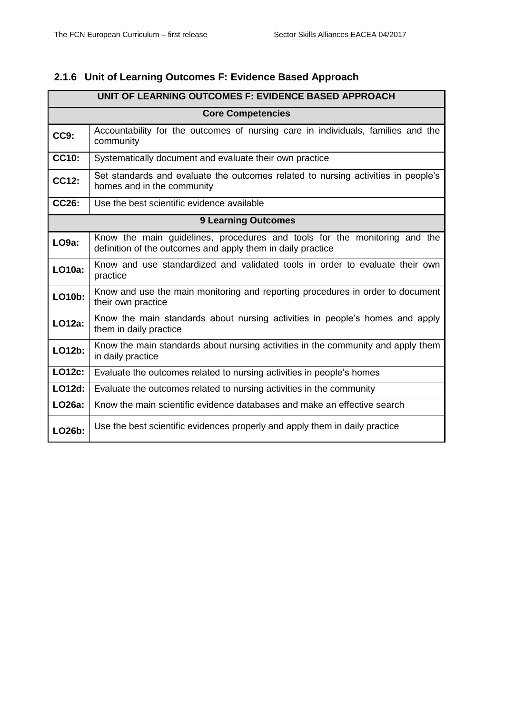### <span id="page-49-0"></span>**2.1.6 Unit of Learning Outcomes F: Evidence Based Approach**

| UNIT OF LEARNING OUTCOMES F: EVIDENCE BASED APPROACH |                                                                                                                                          |  |
|------------------------------------------------------|------------------------------------------------------------------------------------------------------------------------------------------|--|
|                                                      | <b>Core Competencies</b>                                                                                                                 |  |
| CC9:                                                 | Accountability for the outcomes of nursing care in individuals, families and the<br>community                                            |  |
| <b>CC10:</b>                                         | Systematically document and evaluate their own practice                                                                                  |  |
| CC12:                                                | Set standards and evaluate the outcomes related to nursing activities in people's<br>homes and in the community                          |  |
| CC26:                                                | Use the best scientific evidence available                                                                                               |  |
| <b>9 Learning Outcomes</b>                           |                                                                                                                                          |  |
| LO <sub>9a</sub> :                                   | Know the main guidelines, procedures and tools for the monitoring and the<br>definition of the outcomes and apply them in daily practice |  |
| <b>LO10a:</b>                                        | Know and use standardized and validated tools in order to evaluate their own<br>practice                                                 |  |
| <b>LO10b:</b>                                        | Know and use the main monitoring and reporting procedures in order to document<br>their own practice                                     |  |
| LO12a:                                               | Know the main standards about nursing activities in people's homes and apply<br>them in daily practice                                   |  |
| LO12b:                                               | Know the main standards about nursing activities in the community and apply them<br>in daily practice                                    |  |
| <b>LO12c:</b>                                        | Evaluate the outcomes related to nursing activities in people's homes                                                                    |  |
| LO12d:                                               | Evaluate the outcomes related to nursing activities in the community                                                                     |  |
| LO26a:                                               | Know the main scientific evidence databases and make an effective search                                                                 |  |
| LO26b:                                               | Use the best scientific evidences properly and apply them in daily practice                                                              |  |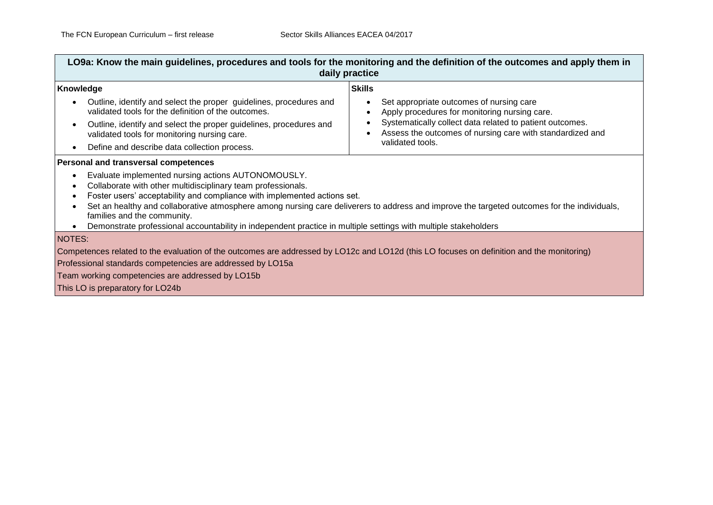| LO9a: Know the main guidelines, procedures and tools for the monitoring and the definition of the outcomes and apply them in<br>daily practice                                                                                                                                                                                                                                                                                                                                                                                                                                                   |                                                                                                                                                                                                                                                         |  |
|--------------------------------------------------------------------------------------------------------------------------------------------------------------------------------------------------------------------------------------------------------------------------------------------------------------------------------------------------------------------------------------------------------------------------------------------------------------------------------------------------------------------------------------------------------------------------------------------------|---------------------------------------------------------------------------------------------------------------------------------------------------------------------------------------------------------------------------------------------------------|--|
| Knowledge<br>Outline, identify and select the proper guidelines, procedures and<br>$\bullet$<br>validated tools for the definition of the outcomes.<br>Outline, identify and select the proper guidelines, procedures and<br>$\bullet$<br>validated tools for monitoring nursing care.<br>Define and describe data collection process.<br>$\bullet$                                                                                                                                                                                                                                              | <b>Skills</b><br>Set appropriate outcomes of nursing care<br>Apply procedures for monitoring nursing care.<br>Systematically collect data related to patient outcomes.<br>Assess the outcomes of nursing care with standardized and<br>validated tools. |  |
| Personal and transversal competences<br>Evaluate implemented nursing actions AUTONOMOUSLY.<br>$\bullet$<br>Collaborate with other multidisciplinary team professionals.<br>٠<br>Foster users' acceptability and compliance with implemented actions set.<br>$\bullet$<br>Set an healthy and collaborative atmosphere among nursing care deliverers to address and improve the targeted outcomes for the individuals,<br>$\bullet$<br>families and the community.<br>Demonstrate professional accountability in independent practice in multiple settings with multiple stakeholders<br>$\bullet$ |                                                                                                                                                                                                                                                         |  |
| NOTES:<br>Competences related to the evaluation of the outcomes are addressed by LO12c and LO12d (this LO focuses on definition and the monitoring)<br>Professional standards competencies are addressed by LO15a<br>Team working competencies are addressed by LO15b<br>This LO is preparatory for LO24b                                                                                                                                                                                                                                                                                        |                                                                                                                                                                                                                                                         |  |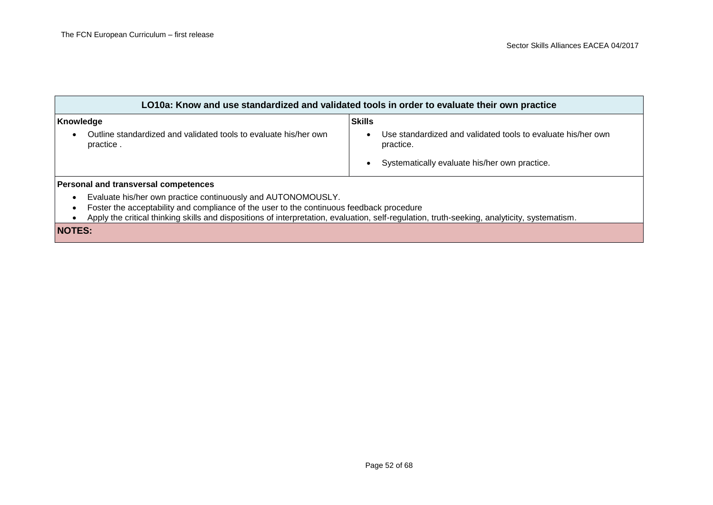| LO10a: Know and use standardized and validated tools in order to evaluate their own practice                                                                                                                                                                                                             |                                                                                            |  |
|----------------------------------------------------------------------------------------------------------------------------------------------------------------------------------------------------------------------------------------------------------------------------------------------------------|--------------------------------------------------------------------------------------------|--|
| Knowledge<br>Outline standardized and validated tools to evaluate his/her own<br>practice.                                                                                                                                                                                                               | <b>Skills</b><br>Use standardized and validated tools to evaluate his/her own<br>practice. |  |
| Personal and transversal competences                                                                                                                                                                                                                                                                     | Systematically evaluate his/her own practice.                                              |  |
| Evaluate his/her own practice continuously and AUTONOMOUSLY.<br>Foster the acceptability and compliance of the user to the continuous feedback procedure<br>Apply the critical thinking skills and dispositions of interpretation, evaluation, self-regulation, truth-seeking, analyticity, systematism. |                                                                                            |  |
| <b>NOTES:</b>                                                                                                                                                                                                                                                                                            |                                                                                            |  |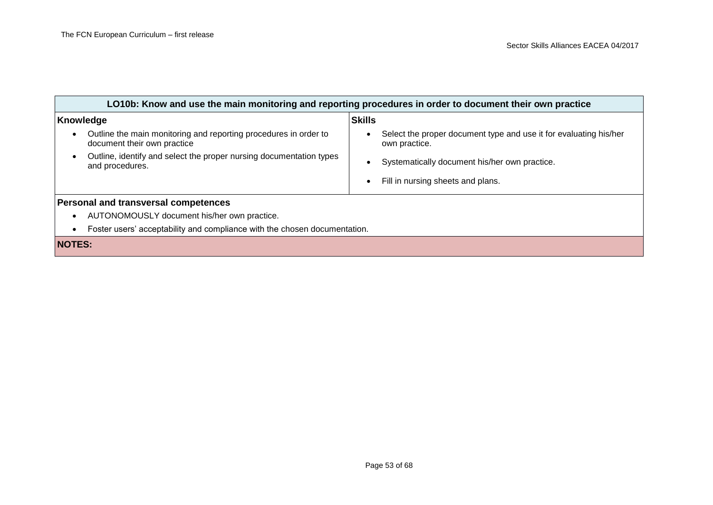| LO10b: Know and use the main monitoring and reporting procedures in order to document their own practice |                                                                                                 |               |                                                                                    |
|----------------------------------------------------------------------------------------------------------|-------------------------------------------------------------------------------------------------|---------------|------------------------------------------------------------------------------------|
| Knowledge                                                                                                |                                                                                                 | <b>Skills</b> |                                                                                    |
| $\bullet$                                                                                                | Outline the main monitoring and reporting procedures in order to<br>document their own practice | $\bullet$     | Select the proper document type and use it for evaluating his/her<br>own practice. |
| $\bullet$                                                                                                | Outline, identify and select the proper nursing documentation types<br>and procedures.          | $\bullet$     | Systematically document his/her own practice.                                      |
|                                                                                                          |                                                                                                 | $\bullet$     | Fill in nursing sheets and plans.                                                  |
| Personal and transversal competences                                                                     |                                                                                                 |               |                                                                                    |
| $\bullet$                                                                                                | AUTONOMOUSLY document his/her own practice.                                                     |               |                                                                                    |
| $\bullet$                                                                                                | Foster users' acceptability and compliance with the chosen documentation.                       |               |                                                                                    |
| <b>NOTES:</b>                                                                                            |                                                                                                 |               |                                                                                    |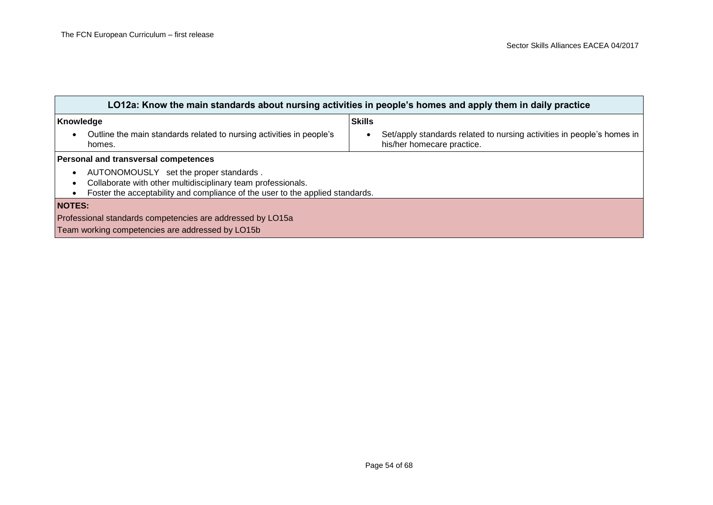| LO12a: Know the main standards about nursing activities in people's homes and apply them in daily practice                                                                                           |                                                                                                      |  |  |
|------------------------------------------------------------------------------------------------------------------------------------------------------------------------------------------------------|------------------------------------------------------------------------------------------------------|--|--|
| Knowledge                                                                                                                                                                                            | <b>Skills</b>                                                                                        |  |  |
| Outline the main standards related to nursing activities in people's<br>$\bullet$<br>homes.                                                                                                          | Set/apply standards related to nursing activities in people's homes in<br>his/her homecare practice. |  |  |
| Personal and transversal competences                                                                                                                                                                 |                                                                                                      |  |  |
| AUTONOMOUSLY set the proper standards.<br>$\bullet$<br>Collaborate with other multidisciplinary team professionals.<br>Foster the acceptability and compliance of the user to the applied standards. |                                                                                                      |  |  |
| <b>NOTES:</b>                                                                                                                                                                                        |                                                                                                      |  |  |
| Professional standards competencies are addressed by LO15a                                                                                                                                           |                                                                                                      |  |  |
| Team working competencies are addressed by LO15b                                                                                                                                                     |                                                                                                      |  |  |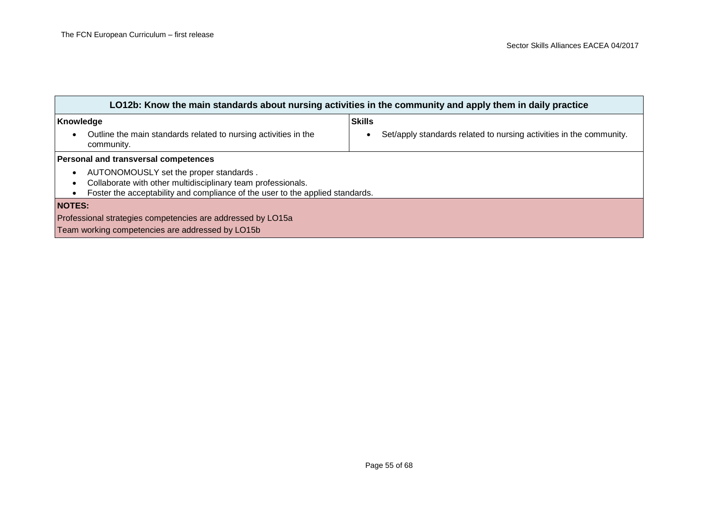| LO12b: Know the main standards about nursing activities in the community and apply them in daily practice                                                                                                         |                                                                     |  |  |
|-------------------------------------------------------------------------------------------------------------------------------------------------------------------------------------------------------------------|---------------------------------------------------------------------|--|--|
| Knowledge                                                                                                                                                                                                         | <b>Skills</b>                                                       |  |  |
| Outline the main standards related to nursing activities in the<br>$\bullet$<br>community.                                                                                                                        | Set/apply standards related to nursing activities in the community. |  |  |
| Personal and transversal competences                                                                                                                                                                              |                                                                     |  |  |
| AUTONOMOUSLY set the proper standards.<br>$\bullet$<br>Collaborate with other multidisciplinary team professionals.<br>$\bullet$<br>Foster the acceptability and compliance of the user to the applied standards. |                                                                     |  |  |
| <b>NOTES:</b>                                                                                                                                                                                                     |                                                                     |  |  |
| Professional strategies competencies are addressed by LO15a                                                                                                                                                       |                                                                     |  |  |
| Team working competencies are addressed by LO15b                                                                                                                                                                  |                                                                     |  |  |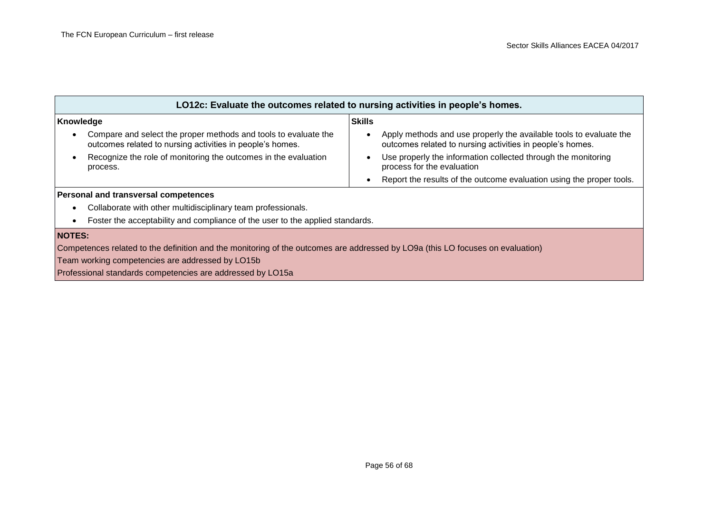| LO12c: Evaluate the outcomes related to nursing activities in people's homes.                                                             |                                                                                                                                              |  |  |
|-------------------------------------------------------------------------------------------------------------------------------------------|----------------------------------------------------------------------------------------------------------------------------------------------|--|--|
| Knowledge                                                                                                                                 | <b>Skills</b>                                                                                                                                |  |  |
| Compare and select the proper methods and tools to evaluate the<br>$\bullet$<br>outcomes related to nursing activities in people's homes. | Apply methods and use properly the available tools to evaluate the<br>$\bullet$<br>outcomes related to nursing activities in people's homes. |  |  |
| Recognize the role of monitoring the outcomes in the evaluation<br>$\bullet$<br>process.                                                  | Use properly the information collected through the monitoring<br>$\bullet$<br>process for the evaluation                                     |  |  |
|                                                                                                                                           | Report the results of the outcome evaluation using the proper tools.<br>$\bullet$                                                            |  |  |
| Personal and transversal competences                                                                                                      |                                                                                                                                              |  |  |
| Collaborate with other multidisciplinary team professionals.<br>$\bullet$                                                                 |                                                                                                                                              |  |  |
| Foster the acceptability and compliance of the user to the applied standards.<br>$\bullet$                                                |                                                                                                                                              |  |  |
| <b>NOTES:</b>                                                                                                                             |                                                                                                                                              |  |  |
| Competences related to the definition and the monitoring of the outcomes are addressed by LO9a (this LO focuses on evaluation)            |                                                                                                                                              |  |  |
| Team working competencies are addressed by LO15b                                                                                          |                                                                                                                                              |  |  |
| Professional standards competencies are addressed by LO15a                                                                                |                                                                                                                                              |  |  |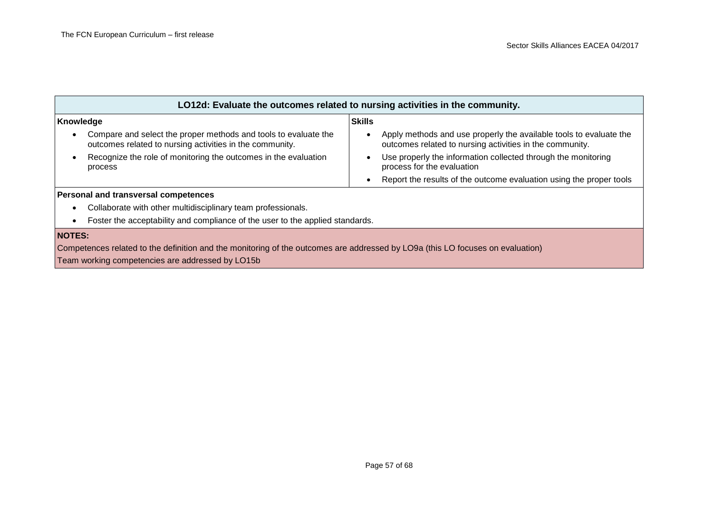| LO12d: Evaluate the outcomes related to nursing activities in the community.                                                             |                                                                                                                                |  |  |
|------------------------------------------------------------------------------------------------------------------------------------------|--------------------------------------------------------------------------------------------------------------------------------|--|--|
| Knowledge                                                                                                                                | <b>Skills</b>                                                                                                                  |  |  |
| Compare and select the proper methods and tools to evaluate the<br>$\bullet$<br>outcomes related to nursing activities in the community. | Apply methods and use properly the available tools to evaluate the<br>outcomes related to nursing activities in the community. |  |  |
| Recognize the role of monitoring the outcomes in the evaluation<br>process                                                               | Use properly the information collected through the monitoring<br>$\bullet$<br>process for the evaluation                       |  |  |
|                                                                                                                                          | Report the results of the outcome evaluation using the proper tools                                                            |  |  |
| Personal and transversal competences                                                                                                     |                                                                                                                                |  |  |
| Collaborate with other multidisciplinary team professionals.<br>٠                                                                        |                                                                                                                                |  |  |
| Foster the acceptability and compliance of the user to the applied standards.                                                            |                                                                                                                                |  |  |
| <b>NOTES:</b>                                                                                                                            |                                                                                                                                |  |  |
| Competences related to the definition and the monitoring of the outcomes are addressed by LO9a (this LO focuses on evaluation)           |                                                                                                                                |  |  |
| Team working competencies are addressed by LO15b                                                                                         |                                                                                                                                |  |  |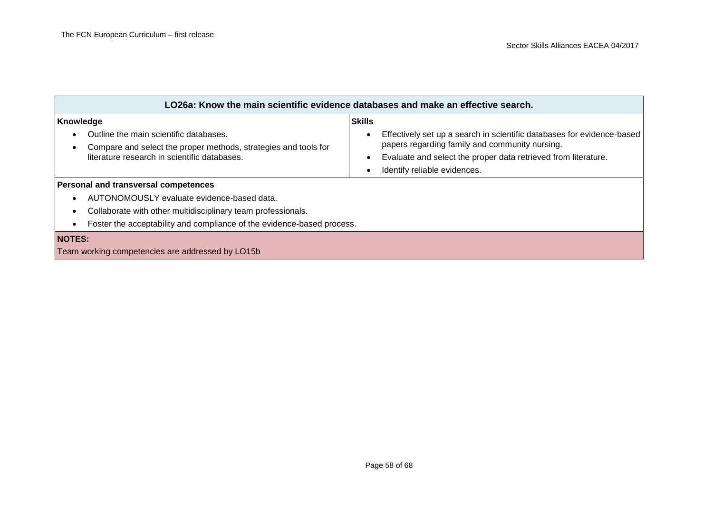| LO26a: Know the main scientific evidence databases and make an effective search.                                       |                                                                                                                                       |  |  |
|------------------------------------------------------------------------------------------------------------------------|---------------------------------------------------------------------------------------------------------------------------------------|--|--|
| Knowledge                                                                                                              | <b>Skills</b>                                                                                                                         |  |  |
| Outline the main scientific databases.<br>$\bullet$<br>Compare and select the proper methods, strategies and tools for | Effectively set up a search in scientific databases for evidence-based<br>$\bullet$<br>papers regarding family and community nursing. |  |  |
| literature research in scientific databases.                                                                           | Evaluate and select the proper data retrieved from literature.<br>$\bullet$                                                           |  |  |
|                                                                                                                        | Identify reliable evidences.                                                                                                          |  |  |
| <b>Personal and transversal competences</b>                                                                            |                                                                                                                                       |  |  |
| AUTONOMOUSLY evaluate evidence-based data.<br>$\bullet$                                                                |                                                                                                                                       |  |  |
| Collaborate with other multidisciplinary team professionals.<br>$\bullet$                                              |                                                                                                                                       |  |  |
| Foster the acceptability and compliance of the evidence-based process.<br>٠                                            |                                                                                                                                       |  |  |
| <b>NOTES:</b><br>Team working competencies are addressed by LO15b                                                      |                                                                                                                                       |  |  |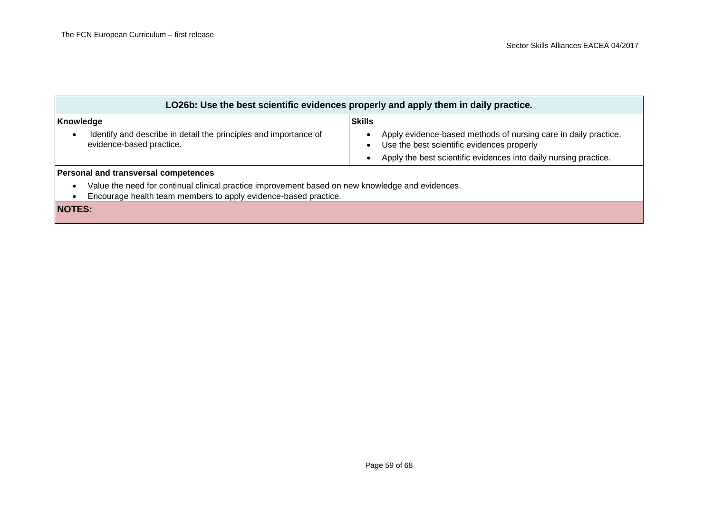| LO26b: Use the best scientific evidences properly and apply them in daily practice.                                                                                      |                                                                                                                    |  |  |
|--------------------------------------------------------------------------------------------------------------------------------------------------------------------------|--------------------------------------------------------------------------------------------------------------------|--|--|
| Knowledge                                                                                                                                                                | <b>Skills</b>                                                                                                      |  |  |
| Identify and describe in detail the principles and importance of<br>$\bullet$<br>evidence-based practice.                                                                | Apply evidence-based methods of nursing care in daily practice.<br>Use the best scientific evidences properly<br>٠ |  |  |
|                                                                                                                                                                          | Apply the best scientific evidences into daily nursing practice.                                                   |  |  |
| Personal and transversal competences                                                                                                                                     |                                                                                                                    |  |  |
| Value the need for continual clinical practice improvement based on new knowledge and evidences.<br>٠<br>Encourage health team members to apply evidence-based practice. |                                                                                                                    |  |  |
| <b>NOTES:</b>                                                                                                                                                            |                                                                                                                    |  |  |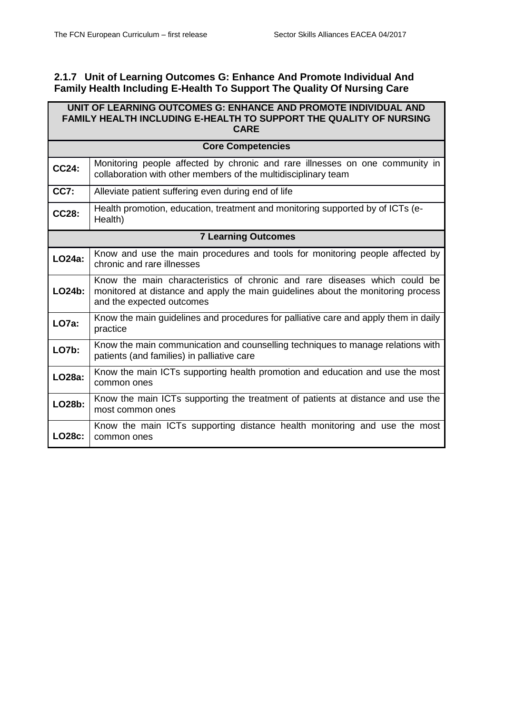### <span id="page-59-0"></span>**2.1.7 Unit of Learning Outcomes G: Enhance And Promote Individual And Family Health Including E-Health To Support The Quality Of Nursing Care**

| UNIT OF LEARNING OUTCOMES G: ENHANCE AND PROMOTE INDIVIDUAL AND<br>FAMILY HEALTH INCLUDING E-HEALTH TO SUPPORT THE QUALITY OF NURSING<br><b>CARE</b> |                                                                                                                                                                                            |  |  |
|------------------------------------------------------------------------------------------------------------------------------------------------------|--------------------------------------------------------------------------------------------------------------------------------------------------------------------------------------------|--|--|
|                                                                                                                                                      | <b>Core Competencies</b>                                                                                                                                                                   |  |  |
| <b>CC24:</b>                                                                                                                                         | Monitoring people affected by chronic and rare illnesses on one community in<br>collaboration with other members of the multidisciplinary team                                             |  |  |
| <b>CC7:</b>                                                                                                                                          | Alleviate patient suffering even during end of life                                                                                                                                        |  |  |
| <b>CC28:</b>                                                                                                                                         | Health promotion, education, treatment and monitoring supported by of ICTs (e-<br>Health)                                                                                                  |  |  |
| <b>7 Learning Outcomes</b>                                                                                                                           |                                                                                                                                                                                            |  |  |
| LO24a:                                                                                                                                               | Know and use the main procedures and tools for monitoring people affected by<br>chronic and rare illnesses                                                                                 |  |  |
| LO24b:                                                                                                                                               | Know the main characteristics of chronic and rare diseases which could be<br>monitored at distance and apply the main guidelines about the monitoring process<br>and the expected outcomes |  |  |
| LO7a:                                                                                                                                                | Know the main guidelines and procedures for palliative care and apply them in daily<br>practice                                                                                            |  |  |
| <b>LO7b:</b>                                                                                                                                         | Know the main communication and counselling techniques to manage relations with<br>patients (and families) in palliative care                                                              |  |  |
| LO28a:                                                                                                                                               | Know the main ICTs supporting health promotion and education and use the most<br>common ones                                                                                               |  |  |
| LO28b:                                                                                                                                               | Know the main ICTs supporting the treatment of patients at distance and use the<br>most common ones                                                                                        |  |  |
| <b>LO28c:</b>                                                                                                                                        | Know the main ICTs supporting distance health monitoring and use the most<br>common ones                                                                                                   |  |  |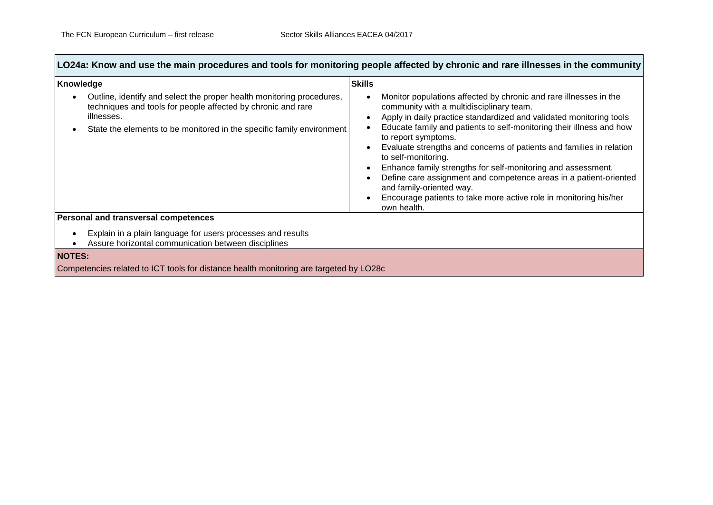**Contract Contract** 

 $\mathcal{L}(\mathcal{A})$ 

| Knowledge                                                                                                                                                                                                                    | <b>Skills</b>                                                                                                                                                                                                                                                                                                                                                                                                                                                                                                                                                                                                                           |  |  |
|------------------------------------------------------------------------------------------------------------------------------------------------------------------------------------------------------------------------------|-----------------------------------------------------------------------------------------------------------------------------------------------------------------------------------------------------------------------------------------------------------------------------------------------------------------------------------------------------------------------------------------------------------------------------------------------------------------------------------------------------------------------------------------------------------------------------------------------------------------------------------------|--|--|
| Outline, identify and select the proper health monitoring procedures,<br>techniques and tools for people affected by chronic and rare<br>illnesses.<br>State the elements to be monitored in the specific family environment | Monitor populations affected by chronic and rare illnesses in the<br>community with a multidisciplinary team.<br>Apply in daily practice standardized and validated monitoring tools<br>Educate family and patients to self-monitoring their illness and how<br>to report symptoms.<br>Evaluate strengths and concerns of patients and families in relation<br>to self-monitoring.<br>Enhance family strengths for self-monitoring and assessment.<br>Define care assignment and competence areas in a patient-oriented<br>and family-oriented way.<br>Encourage patients to take more active role in monitoring his/her<br>own health. |  |  |
| Personal and transversal competences                                                                                                                                                                                         |                                                                                                                                                                                                                                                                                                                                                                                                                                                                                                                                                                                                                                         |  |  |
| Explain in a plain language for users processes and results<br>Assure horizontal communication between disciplines                                                                                                           |                                                                                                                                                                                                                                                                                                                                                                                                                                                                                                                                                                                                                                         |  |  |
| <b>NOTES:</b>                                                                                                                                                                                                                |                                                                                                                                                                                                                                                                                                                                                                                                                                                                                                                                                                                                                                         |  |  |
| Competencies related to ICT tools for distance health monitoring are targeted by LO28c                                                                                                                                       |                                                                                                                                                                                                                                                                                                                                                                                                                                                                                                                                                                                                                                         |  |  |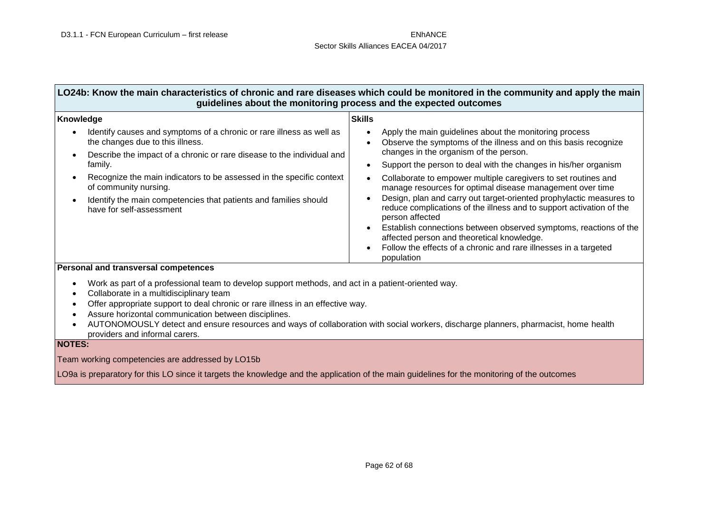| Knowledge                                                                                                | <b>Skills</b>                                                                                                                                                  |
|----------------------------------------------------------------------------------------------------------|----------------------------------------------------------------------------------------------------------------------------------------------------------------|
| Identify causes and symptoms of a chronic or rare illness as well as<br>the changes due to this illness. | Apply the main guidelines about the monitoring process<br>Observe the symptoms of the illness and on this basis recognize                                      |
| Describe the impact of a chronic or rare disease to the individual and<br>$\bullet$                      | changes in the organism of the person.                                                                                                                         |
| family.                                                                                                  | Support the person to deal with the changes in his/her organism                                                                                                |
| Recognize the main indicators to be assessed in the specific context<br>of community nursing.            | Collaborate to empower multiple caregivers to set routines and<br>manage resources for optimal disease management over time                                    |
| Identify the main competencies that patients and families should<br>have for self-assessment             | Design, plan and carry out target-oriented prophylactic measures to<br>reduce complications of the illness and to support activation of the<br>person affected |
|                                                                                                          | Establish connections between observed symptoms, reactions of the<br>affected person and theoretical knowledge.                                                |
|                                                                                                          | Follow the effects of a chronic and rare illnesses in a targeted<br>population                                                                                 |

- Work as part of a professional team to develop support methods, and act in a patient-oriented way.
- Collaborate in a multidisciplinary team
- Offer appropriate support to deal chronic or rare illness in an effective way.
- Assure horizontal communication between disciplines.
- AUTONOMOUSLY detect and ensure resources and ways of collaboration with social workers, discharge planners, pharmacist, home health providers and informal carers.

### **NOTES:**

Team working competencies are addressed by LO15b

LO9a is preparatory for this LO since it targets the knowledge and the application of the main guidelines for the monitoring of the outcomes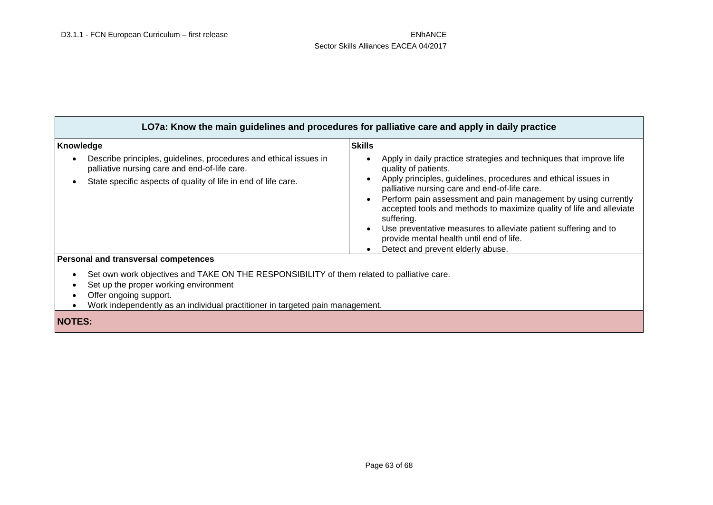| LO7a: Know the main guidelines and procedures for palliative care and apply in daily practice                                                                                                                                                  |                                                                                                                                                                                                                                                                                                                                                                                                                                                                                                                            |  |  |
|------------------------------------------------------------------------------------------------------------------------------------------------------------------------------------------------------------------------------------------------|----------------------------------------------------------------------------------------------------------------------------------------------------------------------------------------------------------------------------------------------------------------------------------------------------------------------------------------------------------------------------------------------------------------------------------------------------------------------------------------------------------------------------|--|--|
| Knowledge                                                                                                                                                                                                                                      | <b>Skills</b>                                                                                                                                                                                                                                                                                                                                                                                                                                                                                                              |  |  |
| Describe principles, guidelines, procedures and ethical issues in<br>palliative nursing care and end-of-life care.<br>State specific aspects of quality of life in end of life care.                                                           | Apply in daily practice strategies and techniques that improve life<br>quality of patients.<br>Apply principles, guidelines, procedures and ethical issues in<br>palliative nursing care and end-of-life care.<br>Perform pain assessment and pain management by using currently<br>accepted tools and methods to maximize quality of life and alleviate<br>suffering.<br>Use preventative measures to alleviate patient suffering and to<br>provide mental health until end of life.<br>Detect and prevent elderly abuse. |  |  |
| <b>Personal and transversal competences</b>                                                                                                                                                                                                    |                                                                                                                                                                                                                                                                                                                                                                                                                                                                                                                            |  |  |
| Set own work objectives and TAKE ON THE RESPONSIBILITY of them related to palliative care.<br>Set up the proper working environment<br>Offer ongoing support.<br>Work independently as an individual practitioner in targeted pain management. |                                                                                                                                                                                                                                                                                                                                                                                                                                                                                                                            |  |  |
| <b>NOTES:</b>                                                                                                                                                                                                                                  |                                                                                                                                                                                                                                                                                                                                                                                                                                                                                                                            |  |  |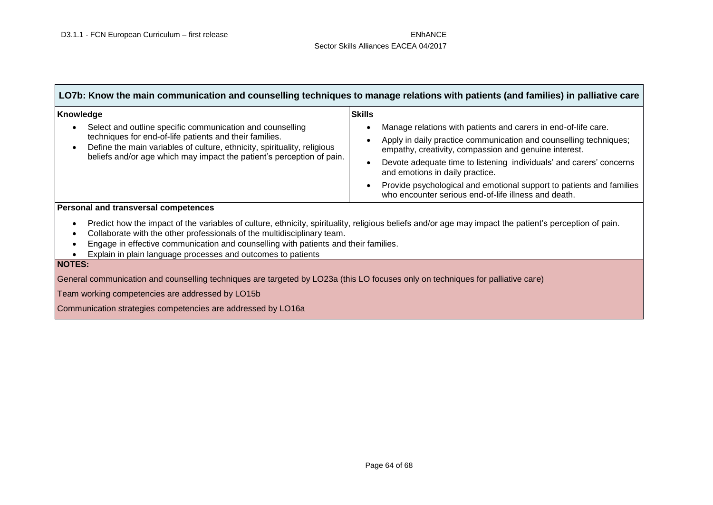| LO7b: Know the main communication and counselling techniques to manage relations with patients (and families) in palliative care |  |  |
|----------------------------------------------------------------------------------------------------------------------------------|--|--|
|                                                                                                                                  |  |  |

| Knowledge                                                                                                                                                                                                                                                                              | <b>Skills</b>                                                                                                                                                                                                                                                                                                                                                                                                                          |
|----------------------------------------------------------------------------------------------------------------------------------------------------------------------------------------------------------------------------------------------------------------------------------------|----------------------------------------------------------------------------------------------------------------------------------------------------------------------------------------------------------------------------------------------------------------------------------------------------------------------------------------------------------------------------------------------------------------------------------------|
| Select and outline specific communication and counselling<br>$\bullet$<br>techniques for end-of-life patients and their families.<br>Define the main variables of culture, ethnicity, spirituality, religious<br>beliefs and/or age which may impact the patient's perception of pain. | Manage relations with patients and carers in end-of-life care.<br>Apply in daily practice communication and counselling techniques;<br>empathy, creativity, compassion and genuine interest.<br>Devote adequate time to listening individuals' and carers' concerns<br>and emotions in daily practice.<br>Provide psychological and emotional support to patients and families<br>who encounter serious end-of-life illness and death. |
| Personal and transversal competences                                                                                                                                                                                                                                                   |                                                                                                                                                                                                                                                                                                                                                                                                                                        |

- Predict how the impact of the variables of culture, ethnicity, spirituality, religious beliefs and/or age may impact the patient's perception of pain.
- Collaborate with the other professionals of the multidisciplinary team.
- Engage in effective communication and counselling with patients and their families.
- Explain in plain language processes and outcomes to patients

### **NOTES:**

General communication and counselling techniques are targeted by LO23a (this LO focuses only on techniques for palliative care)

Team working competencies are addressed by LO15b

Communication strategies competencies are addressed by LO16a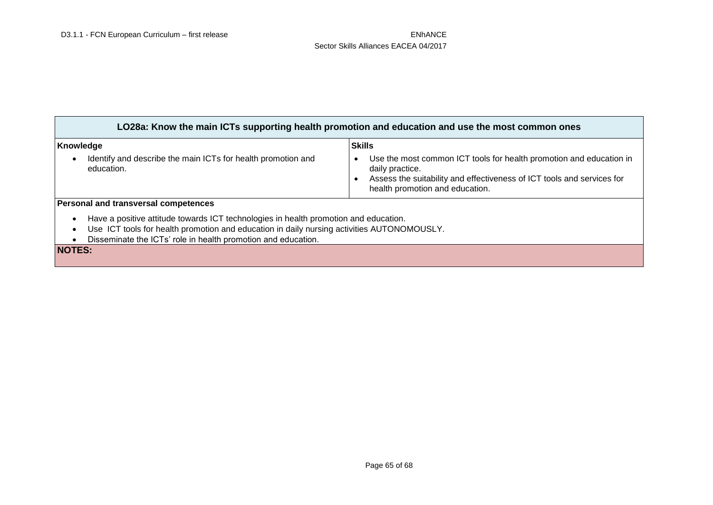| LO28a: Know the main ICTs supporting health promotion and education and use the most common ones                                                                                                                                                                                           |                                                                                                                                                                                                     |  |  |
|--------------------------------------------------------------------------------------------------------------------------------------------------------------------------------------------------------------------------------------------------------------------------------------------|-----------------------------------------------------------------------------------------------------------------------------------------------------------------------------------------------------|--|--|
| Knowledge                                                                                                                                                                                                                                                                                  | <b>Skills</b>                                                                                                                                                                                       |  |  |
| Identify and describe the main ICTs for health promotion and<br>$\bullet$<br>education.                                                                                                                                                                                                    | Use the most common ICT tools for health promotion and education in<br>daily practice.<br>Assess the suitability and effectiveness of ICT tools and services for<br>health promotion and education. |  |  |
| <b>Personal and transversal competences</b>                                                                                                                                                                                                                                                |                                                                                                                                                                                                     |  |  |
| Have a positive attitude towards ICT technologies in health promotion and education.<br>$\bullet$<br>Use ICT tools for health promotion and education in daily nursing activities AUTONOMOUSLY.<br>$\bullet$<br>Disseminate the ICTs' role in health promotion and education.<br>$\bullet$ |                                                                                                                                                                                                     |  |  |
| <b>NOTES:</b>                                                                                                                                                                                                                                                                              |                                                                                                                                                                                                     |  |  |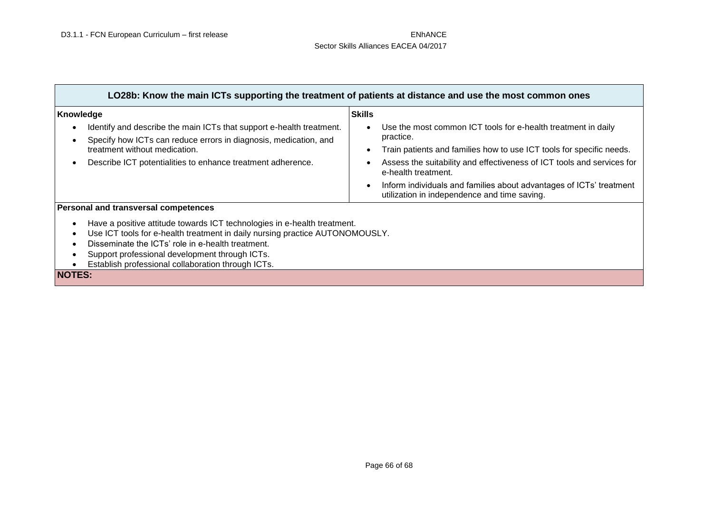$\Gamma$ 

۳

| LO28b: Know the main ICTs supporting the treatment of patients at distance and use the most common ones                                                                                                                                                                                                                                                                             |                                                                                                                                                                                                                                                                                                                                                                            |  |
|-------------------------------------------------------------------------------------------------------------------------------------------------------------------------------------------------------------------------------------------------------------------------------------------------------------------------------------------------------------------------------------|----------------------------------------------------------------------------------------------------------------------------------------------------------------------------------------------------------------------------------------------------------------------------------------------------------------------------------------------------------------------------|--|
| Knowledge                                                                                                                                                                                                                                                                                                                                                                           | <b>Skills</b>                                                                                                                                                                                                                                                                                                                                                              |  |
| Identify and describe the main ICTs that support e-health treatment.<br>Specify how ICTs can reduce errors in diagnosis, medication, and<br>treatment without medication.<br>Describe ICT potentialities to enhance treatment adherence.                                                                                                                                            | Use the most common ICT tools for e-health treatment in daily<br>practice.<br>Train patients and families how to use ICT tools for specific needs.<br>Assess the suitability and effectiveness of ICT tools and services for<br>e-health treatment.<br>Inform individuals and families about advantages of ICTs' treatment<br>utilization in independence and time saving. |  |
| Personal and transversal competences<br>Have a positive attitude towards ICT technologies in e-health treatment.<br>٠<br>Use ICT tools for e-health treatment in daily nursing practice AUTONOMOUSLY.<br>Disseminate the ICTs' role in e-health treatment.<br>Support professional development through ICTs.<br>Establish professional collaboration through ICTs.<br><b>NOTES:</b> |                                                                                                                                                                                                                                                                                                                                                                            |  |